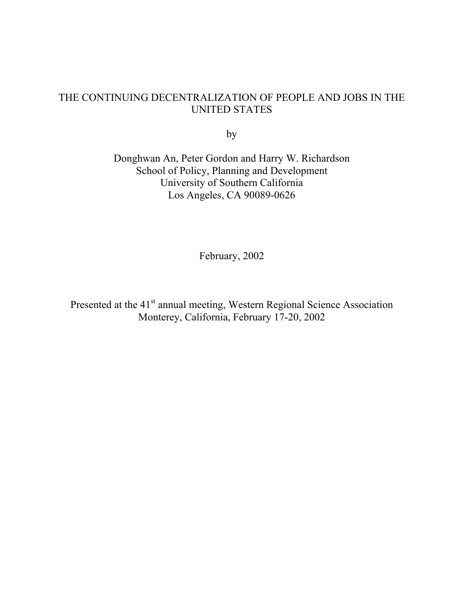### THE CONTINUING DECENTRALIZATION OF PEOPLE AND JOBS IN THE UNITED STATES

by

Donghwan An, Peter Gordon and Harry W. Richardson School of Policy, Planning and Development University of Southern California Los Angeles, CA 90089-0626

February, 2002

Presented at the 41<sup>st</sup> annual meeting, Western Regional Science Association Monterey, California, February 17-20, 2002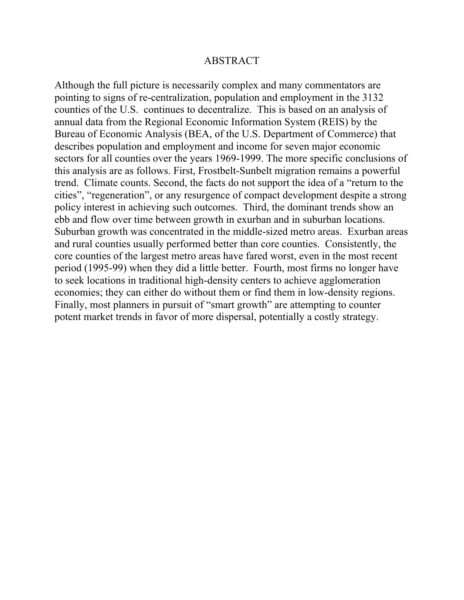#### ABSTRACT

Although the full picture is necessarily complex and many commentators are pointing to signs of re-centralization, population and employment in the 3132 counties of the U.S. continues to decentralize. This is based on an analysis of annual data from the Regional Economic Information System (REIS) by the Bureau of Economic Analysis (BEA, of the U.S. Department of Commerce) that describes population and employment and income for seven major economic sectors for all counties over the years 1969-1999. The more specific conclusions of this analysis are as follows. First, Frostbelt-Sunbelt migration remains a powerful trend. Climate counts. Second, the facts do not support the idea of a "return to the cities", "regeneration", or any resurgence of compact development despite a strong policy interest in achieving such outcomes. Third, the dominant trends show an ebb and flow over time between growth in exurban and in suburban locations. Suburban growth was concentrated in the middle-sized metro areas. Exurban areas and rural counties usually performed better than core counties. Consistently, the core counties of the largest metro areas have fared worst, even in the most recent period (1995-99) when they did a little better. Fourth, most firms no longer have to seek locations in traditional high-density centers to achieve agglomeration economies; they can either do without them or find them in low-density regions. Finally, most planners in pursuit of "smart growth" are attempting to counter potent market trends in favor of more dispersal, potentially a costly strategy.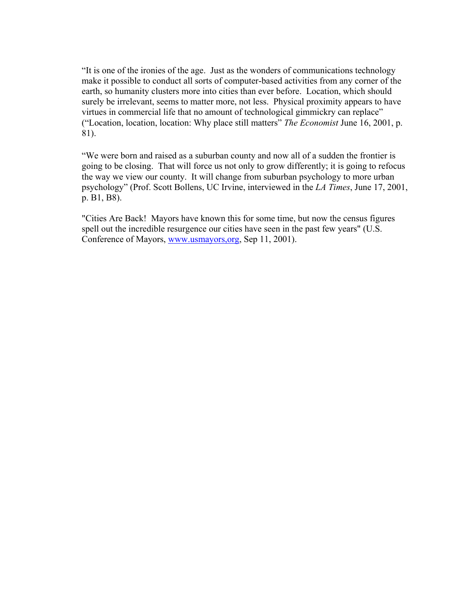"It is one of the ironies of the age. Just as the wonders of communications technology make it possible to conduct all sorts of computer-based activities from any corner of the earth, so humanity clusters more into cities than ever before. Location, which should surely be irrelevant, seems to matter more, not less. Physical proximity appears to have virtues in commercial life that no amount of technological gimmickry can replace" ("Location, location, location: Why place still matters" *The Economist* June 16, 2001, p. 81).

"We were born and raised as a suburban county and now all of a sudden the frontier is going to be closing. That will force us not only to grow differently; it is going to refocus the way we view our county. It will change from suburban psychology to more urban psychology" (Prof. Scott Bollens, UC Irvine, interviewed in the *LA Times*, June 17, 2001, p. B1, B8).

"Cities Are Back! Mayors have known this for some time, but now the census figures spell out the incredible resurgence our cities have seen in the past few years" (U.S. Conference of Mayors, www.usmayors,org, Sep 11, 2001).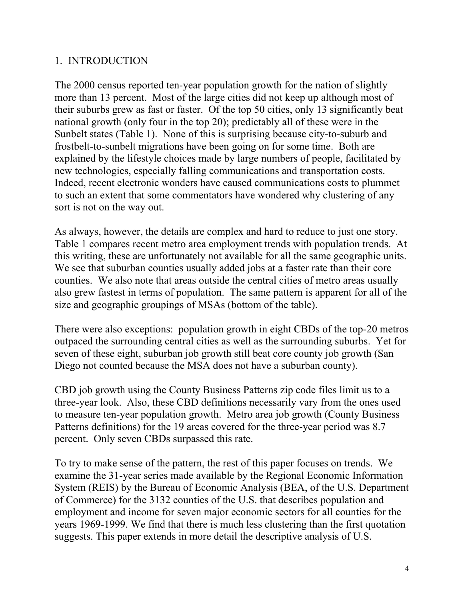## 1. INTRODUCTION

The 2000 census reported ten-year population growth for the nation of slightly more than 13 percent. Most of the large cities did not keep up although most of their suburbs grew as fast or faster. Of the top 50 cities, only 13 significantly beat national growth (only four in the top 20); predictably all of these were in the Sunbelt states (Table 1). None of this is surprising because city-to-suburb and frostbelt-to-sunbelt migrations have been going on for some time. Both are explained by the lifestyle choices made by large numbers of people, facilitated by new technologies, especially falling communications and transportation costs. Indeed, recent electronic wonders have caused communications costs to plummet to such an extent that some commentators have wondered why clustering of any sort is not on the way out.

As always, however, the details are complex and hard to reduce to just one story. Table 1 compares recent metro area employment trends with population trends. At this writing, these are unfortunately not available for all the same geographic units. We see that suburban counties usually added jobs at a faster rate than their core counties. We also note that areas outside the central cities of metro areas usually also grew fastest in terms of population. The same pattern is apparent for all of the size and geographic groupings of MSAs (bottom of the table).

There were also exceptions: population growth in eight CBDs of the top-20 metros outpaced the surrounding central cities as well as the surrounding suburbs. Yet for seven of these eight, suburban job growth still beat core county job growth (San Diego not counted because the MSA does not have a suburban county).

CBD job growth using the County Business Patterns zip code files limit us to a three-year look. Also, these CBD definitions necessarily vary from the ones used to measure ten-year population growth. Metro area job growth (County Business Patterns definitions) for the 19 areas covered for the three-year period was 8.7 percent. Only seven CBDs surpassed this rate.

To try to make sense of the pattern, the rest of this paper focuses on trends. We examine the 31-year series made available by the Regional Economic Information System (REIS) by the Bureau of Economic Analysis (BEA, of the U.S. Department of Commerce) for the 3132 counties of the U.S. that describes population and employment and income for seven major economic sectors for all counties for the years 1969-1999. We find that there is much less clustering than the first quotation suggests. This paper extends in more detail the descriptive analysis of U.S.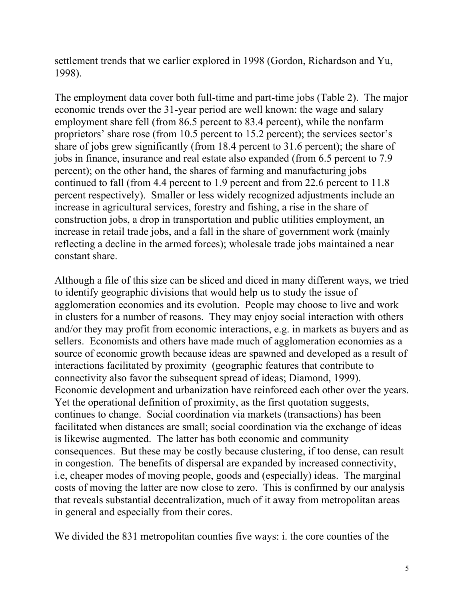settlement trends that we earlier explored in 1998 (Gordon, Richardson and Yu, 1998).

The employment data cover both full-time and part-time jobs (Table 2). The major economic trends over the 31-year period are well known: the wage and salary employment share fell (from 86.5 percent to 83.4 percent), while the nonfarm proprietors' share rose (from 10.5 percent to 15.2 percent); the services sector's share of jobs grew significantly (from 18.4 percent to 31.6 percent); the share of jobs in finance, insurance and real estate also expanded (from 6.5 percent to 7.9 percent); on the other hand, the shares of farming and manufacturing jobs continued to fall (from 4.4 percent to 1.9 percent and from 22.6 percent to 11.8 percent respectively). Smaller or less widely recognized adjustments include an increase in agricultural services, forestry and fishing, a rise in the share of construction jobs, a drop in transportation and public utilities employment, an increase in retail trade jobs, and a fall in the share of government work (mainly reflecting a decline in the armed forces); wholesale trade jobs maintained a near constant share.

Although a file of this size can be sliced and diced in many different ways, we tried to identify geographic divisions that would help us to study the issue of agglomeration economies and its evolution. People may choose to live and work in clusters for a number of reasons. They may enjoy social interaction with others and/or they may profit from economic interactions, e.g. in markets as buyers and as sellers. Economists and others have made much of agglomeration economies as a source of economic growth because ideas are spawned and developed as a result of interactions facilitated by proximity (geographic features that contribute to connectivity also favor the subsequent spread of ideas; Diamond, 1999). Economic development and urbanization have reinforced each other over the years. Yet the operational definition of proximity, as the first quotation suggests, continues to change. Social coordination via markets (transactions) has been facilitated when distances are small; social coordination via the exchange of ideas is likewise augmented. The latter has both economic and community consequences. But these may be costly because clustering, if too dense, can result in congestion. The benefits of dispersal are expanded by increased connectivity, i.e, cheaper modes of moving people, goods and (especially) ideas. The marginal costs of moving the latter are now close to zero. This is confirmed by our analysis that reveals substantial decentralization, much of it away from metropolitan areas in general and especially from their cores.

We divided the 831 metropolitan counties five ways: i. the core counties of the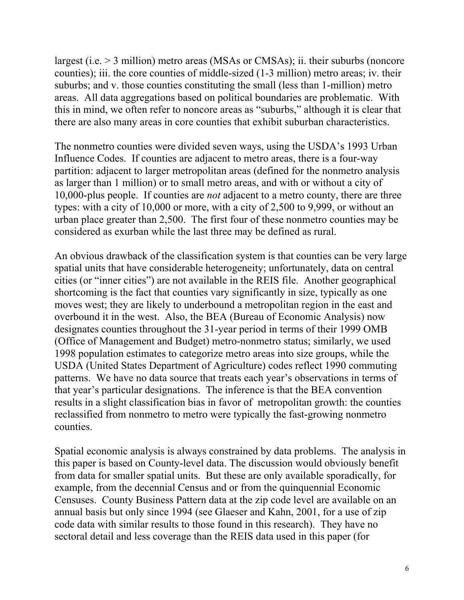largest (i.e. > 3 million) metro areas (MSAs or CMSAs); ii. their suburbs (noncore counties); iii. the core counties of middle-sized (1-3 million) metro areas; iv. their suburbs; and v. those counties constituting the small (less than 1-million) metro areas. All data aggregations based on political boundaries are problematic. With this in mind, we often refer to noncore areas as "suburbs," although it is clear that there are also many areas in core counties that exhibit suburban characteristics.

The nonmetro counties were divided seven ways, using the USDA's 1993 Urban Influence Codes. If counties are adjacent to metro areas, there is a four-way partition: adjacent to larger metropolitan areas (defined for the nonmetro analysis as larger than 1 million) or to small metro areas, and with or without a city of 10,000-plus people. If counties are *not* adjacent to a metro county, there are three types: with a city of 10,000 or more, with a city of 2,500 to 9,999, or without an urban place greater than 2,500. The first four of these nonmetro counties may be considered as exurban while the last three may be defined as rural.

An obvious drawback of the classification system is that counties can be very large spatial units that have considerable heterogeneity; unfortunately, data on central cities (or "inner cities") are not available in the REIS file. Another geographical shortcoming is the fact that counties vary significantly in size, typically as one moves west; they are likely to underbound a metropolitan region in the east and overbound it in the west. Also, the BEA (Bureau of Economic Analysis) now designates counties throughout the 31-year period in terms of their 1999 OMB (Office of Management and Budget) metro-nonmetro status; similarly, we used 1998 population estimates to categorize metro areas into size groups, while the USDA (United States Department of Agriculture) codes reflect 1990 commuting patterns. We have no data source that treats each year's observations in terms of that year's particular designations. The inference is that the BEA convention results in a slight classification bias in favor of metropolitan growth: the counties reclassified from nonmetro to metro were typically the fast-growing nonmetro counties.

Spatial economic analysis is always constrained by data problems. The analysis in this paper is based on County-level data. The discussion would obviously benefit from data for smaller spatial units. But these are only available sporadically, for example, from the decennial Census and or from the quinquennial Economic Censuses. County Business Pattern data at the zip code level are available on an annual basis but only since 1994 (see Glaeser and Kahn, 2001, for a use of zip code data with similar results to those found in this research). They have no sectoral detail and less coverage than the REIS data used in this paper (for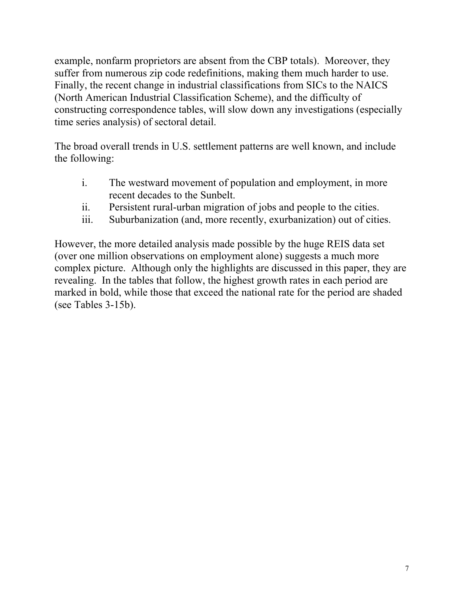example, nonfarm proprietors are absent from the CBP totals). Moreover, they suffer from numerous zip code redefinitions, making them much harder to use. Finally, the recent change in industrial classifications from SICs to the NAICS (North American Industrial Classification Scheme), and the difficulty of constructing correspondence tables, will slow down any investigations (especially time series analysis) of sectoral detail.

The broad overall trends in U.S. settlement patterns are well known, and include the following:

- i. The westward movement of population and employment, in more recent decades to the Sunbelt.
- ii. Persistent rural-urban migration of jobs and people to the cities.
- iii. Suburbanization (and, more recently, exurbanization) out of cities.

However, the more detailed analysis made possible by the huge REIS data set (over one million observations on employment alone) suggests a much more complex picture. Although only the highlights are discussed in this paper, they are revealing. In the tables that follow, the highest growth rates in each period are marked in bold, while those that exceed the national rate for the period are shaded (see Tables 3-15b).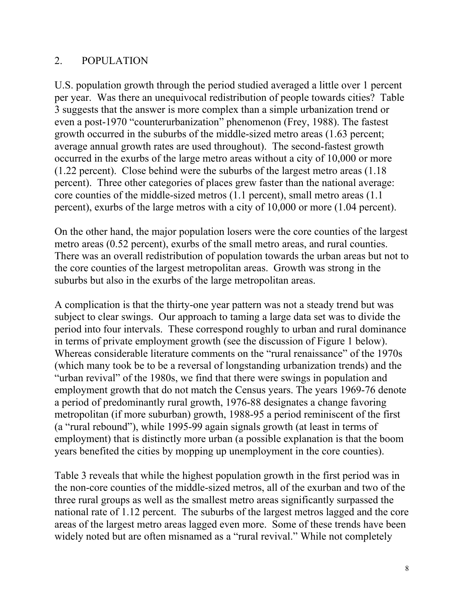## 2. POPULATION

U.S. population growth through the period studied averaged a little over 1 percent per year. Was there an unequivocal redistribution of people towards cities? Table 3 suggests that the answer is more complex than a simple urbanization trend or even a post-1970 "counterurbanization" phenomenon (Frey, 1988). The fastest growth occurred in the suburbs of the middle-sized metro areas (1.63 percent; average annual growth rates are used throughout). The second-fastest growth occurred in the exurbs of the large metro areas without a city of 10,000 or more (1.22 percent). Close behind were the suburbs of the largest metro areas (1.18 percent). Three other categories of places grew faster than the national average: core counties of the middle-sized metros (1.1 percent), small metro areas (1.1 percent), exurbs of the large metros with a city of 10,000 or more (1.04 percent).

On the other hand, the major population losers were the core counties of the largest metro areas (0.52 percent), exurbs of the small metro areas, and rural counties. There was an overall redistribution of population towards the urban areas but not to the core counties of the largest metropolitan areas. Growth was strong in the suburbs but also in the exurbs of the large metropolitan areas.

A complication is that the thirty-one year pattern was not a steady trend but was subject to clear swings. Our approach to taming a large data set was to divide the period into four intervals. These correspond roughly to urban and rural dominance in terms of private employment growth (see the discussion of Figure 1 below). Whereas considerable literature comments on the "rural renaissance" of the 1970s (which many took be to be a reversal of longstanding urbanization trends) and the "urban revival" of the 1980s, we find that there were swings in population and employment growth that do not match the Census years. The years 1969-76 denote a period of predominantly rural growth, 1976-88 designates a change favoring metropolitan (if more suburban) growth, 1988-95 a period reminiscent of the first (a "rural rebound"), while 1995-99 again signals growth (at least in terms of employment) that is distinctly more urban (a possible explanation is that the boom years benefited the cities by mopping up unemployment in the core counties).

Table 3 reveals that while the highest population growth in the first period was in the non-core counties of the middle-sized metros, all of the exurban and two of the three rural groups as well as the smallest metro areas significantly surpassed the national rate of 1.12 percent. The suburbs of the largest metros lagged and the core areas of the largest metro areas lagged even more. Some of these trends have been widely noted but are often misnamed as a "rural revival." While not completely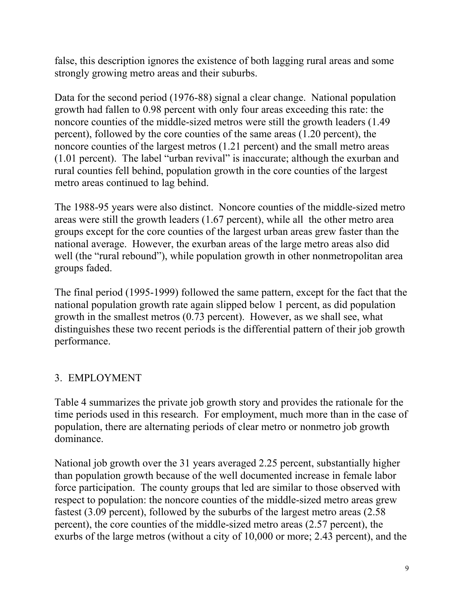false, this description ignores the existence of both lagging rural areas and some strongly growing metro areas and their suburbs.

Data for the second period (1976-88) signal a clear change. National population growth had fallen to 0.98 percent with only four areas exceeding this rate: the noncore counties of the middle-sized metros were still the growth leaders (1.49 percent), followed by the core counties of the same areas (1.20 percent), the noncore counties of the largest metros (1.21 percent) and the small metro areas (1.01 percent). The label "urban revival" is inaccurate; although the exurban and rural counties fell behind, population growth in the core counties of the largest metro areas continued to lag behind.

The 1988-95 years were also distinct. Noncore counties of the middle-sized metro areas were still the growth leaders (1.67 percent), while all the other metro area groups except for the core counties of the largest urban areas grew faster than the national average. However, the exurban areas of the large metro areas also did well (the "rural rebound"), while population growth in other nonmetropolitan area groups faded.

The final period (1995-1999) followed the same pattern, except for the fact that the national population growth rate again slipped below 1 percent, as did population growth in the smallest metros (0.73 percent). However, as we shall see, what distinguishes these two recent periods is the differential pattern of their job growth performance.

## 3. EMPLOYMENT

Table 4 summarizes the private job growth story and provides the rationale for the time periods used in this research. For employment, much more than in the case of population, there are alternating periods of clear metro or nonmetro job growth dominance.

National job growth over the 31 years averaged 2.25 percent, substantially higher than population growth because of the well documented increase in female labor force participation. The county groups that led are similar to those observed with respect to population: the noncore counties of the middle-sized metro areas grew fastest (3.09 percent), followed by the suburbs of the largest metro areas (2.58 percent), the core counties of the middle-sized metro areas (2.57 percent), the exurbs of the large metros (without a city of 10,000 or more; 2.43 percent), and the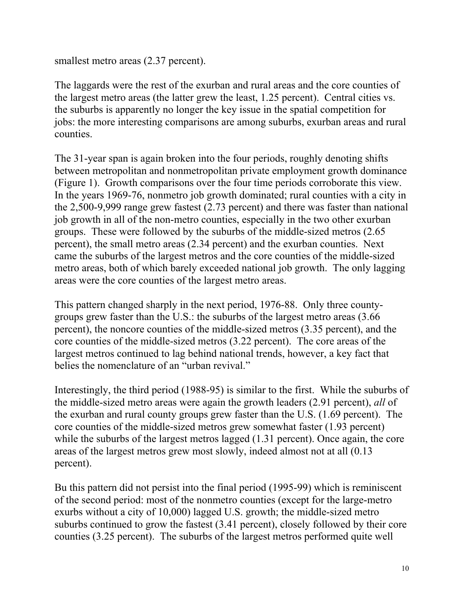smallest metro areas  $(2.37$  percent).

The laggards were the rest of the exurban and rural areas and the core counties of the largest metro areas (the latter grew the least, 1.25 percent). Central cities vs. the suburbs is apparently no longer the key issue in the spatial competition for jobs: the more interesting comparisons are among suburbs, exurban areas and rural counties.

The 31-year span is again broken into the four periods, roughly denoting shifts between metropolitan and nonmetropolitan private employment growth dominance (Figure 1). Growth comparisons over the four time periods corroborate this view. In the years 1969-76, nonmetro job growth dominated; rural counties with a city in the 2,500-9,999 range grew fastest (2.73 percent) and there was faster than national job growth in all of the non-metro counties, especially in the two other exurban groups. These were followed by the suburbs of the middle-sized metros (2.65 percent), the small metro areas (2.34 percent) and the exurban counties. Next came the suburbs of the largest metros and the core counties of the middle-sized metro areas, both of which barely exceeded national job growth. The only lagging areas were the core counties of the largest metro areas.

This pattern changed sharply in the next period, 1976-88. Only three countygroups grew faster than the U.S.: the suburbs of the largest metro areas (3.66 percent), the noncore counties of the middle-sized metros (3.35 percent), and the core counties of the middle-sized metros (3.22 percent). The core areas of the largest metros continued to lag behind national trends, however, a key fact that belies the nomenclature of an "urban revival."

Interestingly, the third period (1988-95) is similar to the first. While the suburbs of the middle-sized metro areas were again the growth leaders (2.91 percent), *all* of the exurban and rural county groups grew faster than the U.S. (1.69 percent). The core counties of the middle-sized metros grew somewhat faster (1.93 percent) while the suburbs of the largest metros lagged (1.31 percent). Once again, the core areas of the largest metros grew most slowly, indeed almost not at all (0.13 percent).

Bu this pattern did not persist into the final period (1995-99) which is reminiscent of the second period: most of the nonmetro counties (except for the large-metro exurbs without a city of 10,000) lagged U.S. growth; the middle-sized metro suburbs continued to grow the fastest (3.41 percent), closely followed by their core counties (3.25 percent). The suburbs of the largest metros performed quite well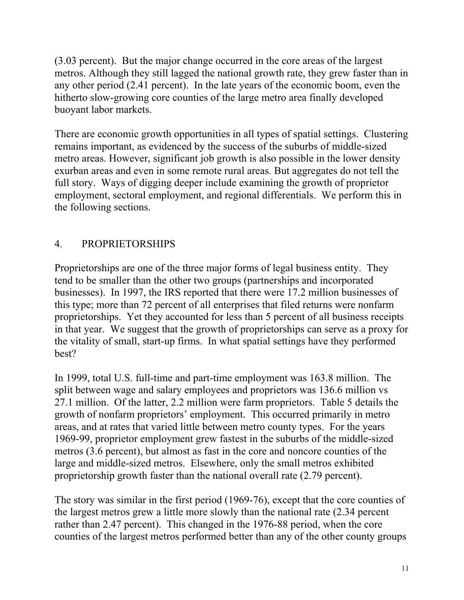(3.03 percent). But the major change occurred in the core areas of the largest metros. Although they still lagged the national growth rate, they grew faster than in any other period (2.41 percent). In the late years of the economic boom, even the hitherto slow-growing core counties of the large metro area finally developed buoyant labor markets.

There are economic growth opportunities in all types of spatial settings. Clustering remains important, as evidenced by the success of the suburbs of middle-sized metro areas. However, significant job growth is also possible in the lower density exurban areas and even in some remote rural areas. But aggregates do not tell the full story. Ways of digging deeper include examining the growth of proprietor employment, sectoral employment, and regional differentials. We perform this in the following sections.

## 4. PROPRIETORSHIPS

Proprietorships are one of the three major forms of legal business entity. They tend to be smaller than the other two groups (partnerships and incorporated businesses). In 1997, the IRS reported that there were 17.2 million businesses of this type; more than 72 percent of all enterprises that filed returns were nonfarm proprietorships. Yet they accounted for less than 5 percent of all business receipts in that year. We suggest that the growth of proprietorships can serve as a proxy for the vitality of small, start-up firms. In what spatial settings have they performed best?

In 1999, total U.S. full-time and part-time employment was 163.8 million. The split between wage and salary employees and proprietors was 136.6 million vs 27.1 million. Of the latter, 2.2 million were farm proprietors. Table 5 details the growth of nonfarm proprietors' employment. This occurred primarily in metro areas, and at rates that varied little between metro county types. For the years 1969-99, proprietor employment grew fastest in the suburbs of the middle-sized metros (3.6 percent), but almost as fast in the core and noncore counties of the large and middle-sized metros. Elsewhere, only the small metros exhibited proprietorship growth faster than the national overall rate (2.79 percent).

The story was similar in the first period (1969-76), except that the core counties of the largest metros grew a little more slowly than the national rate (2.34 percent rather than 2.47 percent). This changed in the 1976-88 period, when the core counties of the largest metros performed better than any of the other county groups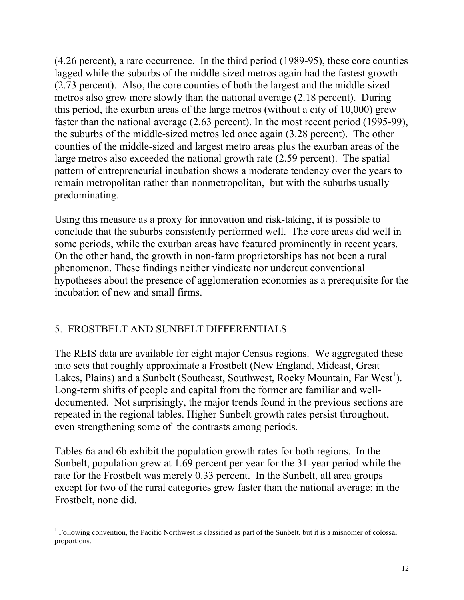(4.26 percent), a rare occurrence. In the third period (1989-95), these core counties lagged while the suburbs of the middle-sized metros again had the fastest growth (2.73 percent). Also, the core counties of both the largest and the middle-sized metros also grew more slowly than the national average (2.18 percent). During this period, the exurban areas of the large metros (without a city of 10,000) grew faster than the national average (2.63 percent). In the most recent period (1995-99), the suburbs of the middle-sized metros led once again (3.28 percent). The other counties of the middle-sized and largest metro areas plus the exurban areas of the large metros also exceeded the national growth rate (2.59 percent). The spatial pattern of entrepreneurial incubation shows a moderate tendency over the years to remain metropolitan rather than nonmetropolitan, but with the suburbs usually predominating.

Using this measure as a proxy for innovation and risk-taking, it is possible to conclude that the suburbs consistently performed well. The core areas did well in some periods, while the exurban areas have featured prominently in recent years. On the other hand, the growth in non-farm proprietorships has not been a rural phenomenon. These findings neither vindicate nor undercut conventional hypotheses about the presence of agglomeration economies as a prerequisite for the incubation of new and small firms.

# 5. FROSTBELT AND SUNBELT DIFFERENTIALS

The REIS data are available for eight major Census regions. We aggregated these into sets that roughly approximate a Frostbelt (New England, Mideast, Great Lakes, Plains) and a Sunbelt (Southeast, Southwest, Rocky Mountain, Far West<sup>1</sup>). Long-term shifts of people and capital from the former are familiar and welldocumented. Not surprisingly, the major trends found in the previous sections are repeated in the regional tables. Higher Sunbelt growth rates persist throughout, even strengthening some of the contrasts among periods.

Tables 6a and 6b exhibit the population growth rates for both regions. In the Sunbelt, population grew at 1.69 percent per year for the 31-year period while the rate for the Frostbelt was merely 0.33 percent. In the Sunbelt, all area groups except for two of the rural categories grew faster than the national average; in the Frostbelt, none did.

<sup>1</sup> <sup>1</sup> Following convention, the Pacific Northwest is classified as part of the Sunbelt, but it is a misnomer of colossal proportions.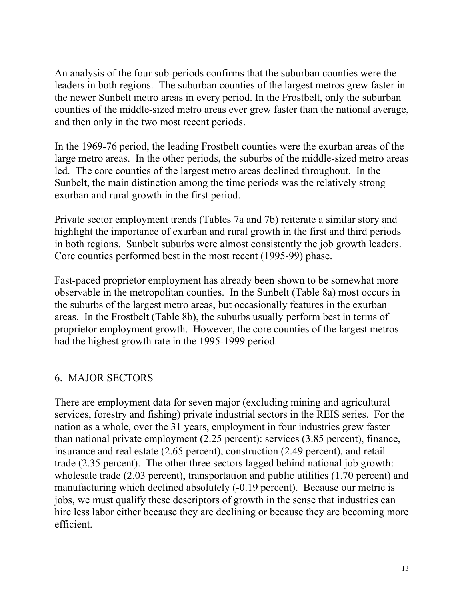An analysis of the four sub-periods confirms that the suburban counties were the leaders in both regions. The suburban counties of the largest metros grew faster in the newer Sunbelt metro areas in every period. In the Frostbelt, only the suburban counties of the middle-sized metro areas ever grew faster than the national average, and then only in the two most recent periods.

In the 1969-76 period, the leading Frostbelt counties were the exurban areas of the large metro areas. In the other periods, the suburbs of the middle-sized metro areas led. The core counties of the largest metro areas declined throughout. In the Sunbelt, the main distinction among the time periods was the relatively strong exurban and rural growth in the first period.

Private sector employment trends (Tables 7a and 7b) reiterate a similar story and highlight the importance of exurban and rural growth in the first and third periods in both regions. Sunbelt suburbs were almost consistently the job growth leaders. Core counties performed best in the most recent (1995-99) phase.

Fast-paced proprietor employment has already been shown to be somewhat more observable in the metropolitan counties. In the Sunbelt (Table 8a) most occurs in the suburbs of the largest metro areas, but occasionally features in the exurban areas. In the Frostbelt (Table 8b), the suburbs usually perform best in terms of proprietor employment growth. However, the core counties of the largest metros had the highest growth rate in the 1995-1999 period.

## 6. MAJOR SECTORS

There are employment data for seven major (excluding mining and agricultural services, forestry and fishing) private industrial sectors in the REIS series. For the nation as a whole, over the 31 years, employment in four industries grew faster than national private employment (2.25 percent): services (3.85 percent), finance, insurance and real estate (2.65 percent), construction (2.49 percent), and retail trade (2.35 percent). The other three sectors lagged behind national job growth: wholesale trade (2.03 percent), transportation and public utilities (1.70 percent) and manufacturing which declined absolutely (-0.19 percent). Because our metric is jobs, we must qualify these descriptors of growth in the sense that industries can hire less labor either because they are declining or because they are becoming more efficient.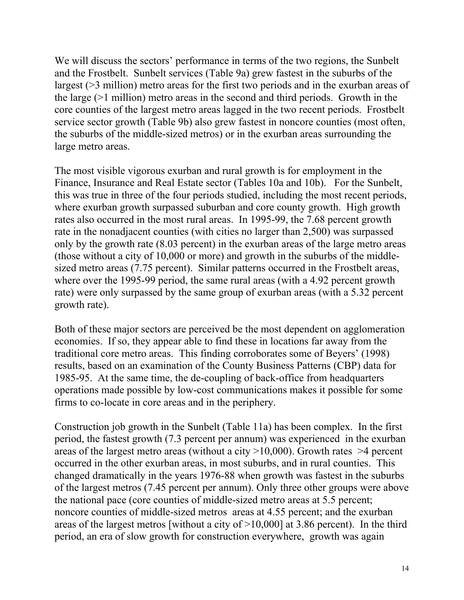We will discuss the sectors' performance in terms of the two regions, the Sunbelt and the Frostbelt. Sunbelt services (Table 9a) grew fastest in the suburbs of the largest (>3 million) metro areas for the first two periods and in the exurban areas of the large (>1 million) metro areas in the second and third periods. Growth in the core counties of the largest metro areas lagged in the two recent periods. Frostbelt service sector growth (Table 9b) also grew fastest in noncore counties (most often, the suburbs of the middle-sized metros) or in the exurban areas surrounding the large metro areas.

The most visible vigorous exurban and rural growth is for employment in the Finance, Insurance and Real Estate sector (Tables 10a and 10b). For the Sunbelt, this was true in three of the four periods studied, including the most recent periods, where exurban growth surpassed suburban and core county growth. High growth rates also occurred in the most rural areas. In 1995-99, the 7.68 percent growth rate in the nonadjacent counties (with cities no larger than 2,500) was surpassed only by the growth rate (8.03 percent) in the exurban areas of the large metro areas (those without a city of 10,000 or more) and growth in the suburbs of the middlesized metro areas (7.75 percent). Similar patterns occurred in the Frostbelt areas, where over the 1995-99 period, the same rural areas (with a 4.92 percent growth rate) were only surpassed by the same group of exurban areas (with a 5.32 percent growth rate).

Both of these major sectors are perceived be the most dependent on agglomeration economies. If so, they appear able to find these in locations far away from the traditional core metro areas. This finding corroborates some of Beyers' (1998) results, based on an examination of the County Business Patterns (CBP) data for 1985-95. At the same time, the de-coupling of back-office from headquarters operations made possible by low-cost communications makes it possible for some firms to co-locate in core areas and in the periphery.

Construction job growth in the Sunbelt (Table 11a) has been complex. In the first period, the fastest growth (7.3 percent per annum) was experienced in the exurban areas of the largest metro areas (without a city  $>10,000$ ). Growth rates  $>4$  percent occurred in the other exurban areas, in most suburbs, and in rural counties. This changed dramatically in the years 1976-88 when growth was fastest in the suburbs of the largest metros (7.45 percent per annum). Only three other groups were above the national pace (core counties of middle-sized metro areas at 5.5 percent; noncore counties of middle-sized metros areas at 4.55 percent; and the exurban areas of the largest metros [without a city of >10,000] at 3.86 percent). In the third period, an era of slow growth for construction everywhere, growth was again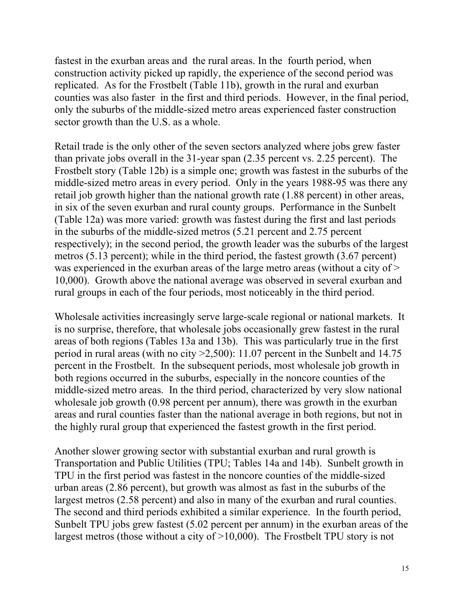fastest in the exurban areas and the rural areas. In the fourth period, when construction activity picked up rapidly, the experience of the second period was replicated. As for the Frostbelt (Table 11b), growth in the rural and exurban counties was also faster in the first and third periods. However, in the final period, only the suburbs of the middle-sized metro areas experienced faster construction sector growth than the U.S. as a whole.

Retail trade is the only other of the seven sectors analyzed where jobs grew faster than private jobs overall in the 31-year span (2.35 percent vs. 2.25 percent). The Frostbelt story (Table 12b) is a simple one; growth was fastest in the suburbs of the middle-sized metro areas in every period. Only in the years 1988-95 was there any retail job growth higher than the national growth rate (1.88 percent) in other areas, in six of the seven exurban and rural county groups. Performance in the Sunbelt (Table 12a) was more varied: growth was fastest during the first and last periods in the suburbs of the middle-sized metros (5.21 percent and 2.75 percent respectively); in the second period, the growth leader was the suburbs of the largest metros (5.13 percent); while in the third period, the fastest growth (3.67 percent) was experienced in the exurban areas of the large metro areas (without a city of  $>$ 10,000). Growth above the national average was observed in several exurban and rural groups in each of the four periods, most noticeably in the third period.

Wholesale activities increasingly serve large-scale regional or national markets. It is no surprise, therefore, that wholesale jobs occasionally grew fastest in the rural areas of both regions (Tables 13a and 13b). This was particularly true in the first period in rural areas (with no city >2,500): 11.07 percent in the Sunbelt and 14.75 percent in the Frostbelt. In the subsequent periods, most wholesale job growth in both regions occurred in the suburbs, especially in the noncore counties of the middle-sized metro areas. In the third period, characterized by very slow national wholesale job growth (0.98 percent per annum), there was growth in the exurban areas and rural counties faster than the national average in both regions, but not in the highly rural group that experienced the fastest growth in the first period.

Another slower growing sector with substantial exurban and rural growth is Transportation and Public Utilities (TPU; Tables 14a and 14b). Sunbelt growth in TPU in the first period was fastest in the noncore counties of the middle-sized urban areas (2.86 percent), but growth was almost as fast in the suburbs of the largest metros (2.58 percent) and also in many of the exurban and rural counties. The second and third periods exhibited a similar experience. In the fourth period, Sunbelt TPU jobs grew fastest (5.02 percent per annum) in the exurban areas of the largest metros (those without a city of >10,000). The Frostbelt TPU story is not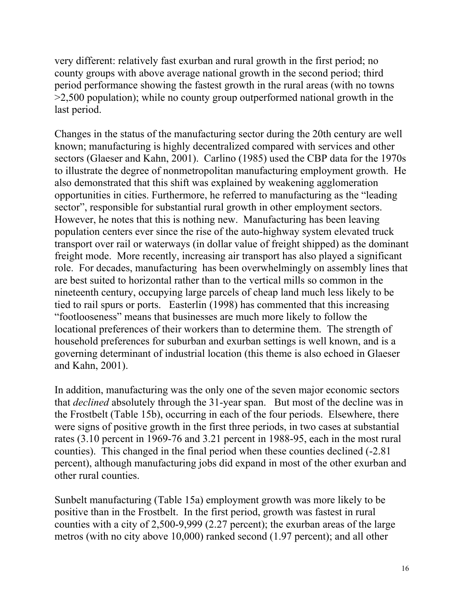very different: relatively fast exurban and rural growth in the first period; no county groups with above average national growth in the second period; third period performance showing the fastest growth in the rural areas (with no towns >2,500 population); while no county group outperformed national growth in the last period.

Changes in the status of the manufacturing sector during the 20th century are well known; manufacturing is highly decentralized compared with services and other sectors (Glaeser and Kahn, 2001). Carlino (1985) used the CBP data for the 1970s to illustrate the degree of nonmetropolitan manufacturing employment growth. He also demonstrated that this shift was explained by weakening agglomeration opportunities in cities. Furthermore, he referred to manufacturing as the "leading sector", responsible for substantial rural growth in other employment sectors. However, he notes that this is nothing new. Manufacturing has been leaving population centers ever since the rise of the auto-highway system elevated truck transport over rail or waterways (in dollar value of freight shipped) as the dominant freight mode. More recently, increasing air transport has also played a significant role. For decades, manufacturing has been overwhelmingly on assembly lines that are best suited to horizontal rather than to the vertical mills so common in the nineteenth century, occupying large parcels of cheap land much less likely to be tied to rail spurs or ports. Easterlin (1998) has commented that this increasing "footlooseness" means that businesses are much more likely to follow the locational preferences of their workers than to determine them. The strength of household preferences for suburban and exurban settings is well known, and is a governing determinant of industrial location (this theme is also echoed in Glaeser and Kahn, 2001).

In addition, manufacturing was the only one of the seven major economic sectors that *declined* absolutely through the 31-year span. But most of the decline was in the Frostbelt (Table 15b), occurring in each of the four periods. Elsewhere, there were signs of positive growth in the first three periods, in two cases at substantial rates (3.10 percent in 1969-76 and 3.21 percent in 1988-95, each in the most rural counties). This changed in the final period when these counties declined (-2.81 percent), although manufacturing jobs did expand in most of the other exurban and other rural counties.

Sunbelt manufacturing (Table 15a) employment growth was more likely to be positive than in the Frostbelt. In the first period, growth was fastest in rural counties with a city of 2,500-9,999 (2.27 percent); the exurban areas of the large metros (with no city above 10,000) ranked second (1.97 percent); and all other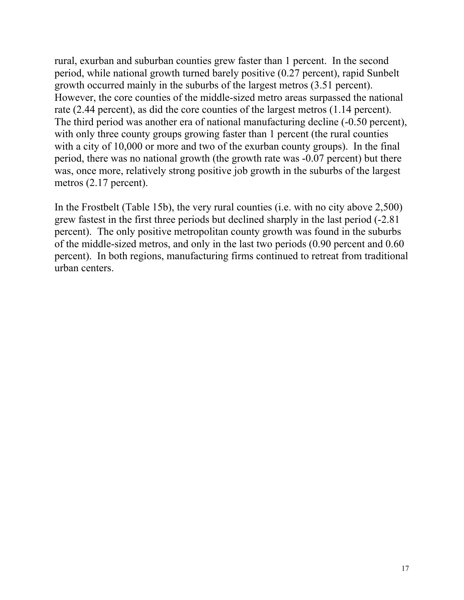rural, exurban and suburban counties grew faster than 1 percent. In the second period, while national growth turned barely positive (0.27 percent), rapid Sunbelt growth occurred mainly in the suburbs of the largest metros (3.51 percent). However, the core counties of the middle-sized metro areas surpassed the national rate (2.44 percent), as did the core counties of the largest metros (1.14 percent). The third period was another era of national manufacturing decline (-0.50 percent), with only three county groups growing faster than 1 percent (the rural counties with a city of 10,000 or more and two of the exurban county groups). In the final period, there was no national growth (the growth rate was -0.07 percent) but there was, once more, relatively strong positive job growth in the suburbs of the largest metros (2.17 percent).

In the Frostbelt (Table 15b), the very rural counties (i.e. with no city above 2,500) grew fastest in the first three periods but declined sharply in the last period (-2.81 percent). The only positive metropolitan county growth was found in the suburbs of the middle-sized metros, and only in the last two periods (0.90 percent and 0.60 percent). In both regions, manufacturing firms continued to retreat from traditional urban centers.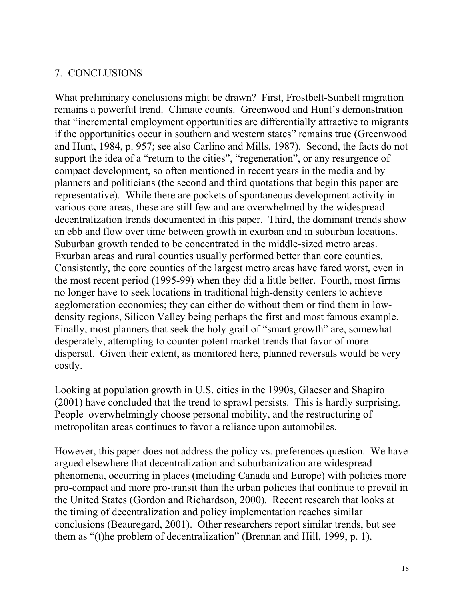## 7. CONCLUSIONS

What preliminary conclusions might be drawn? First, Frostbelt-Sunbelt migration remains a powerful trend. Climate counts. Greenwood and Hunt's demonstration that "incremental employment opportunities are differentially attractive to migrants if the opportunities occur in southern and western states" remains true (Greenwood and Hunt, 1984, p. 957; see also Carlino and Mills, 1987). Second, the facts do not support the idea of a "return to the cities", "regeneration", or any resurgence of compact development, so often mentioned in recent years in the media and by planners and politicians (the second and third quotations that begin this paper are representative). While there are pockets of spontaneous development activity in various core areas, these are still few and are overwhelmed by the widespread decentralization trends documented in this paper. Third, the dominant trends show an ebb and flow over time between growth in exurban and in suburban locations. Suburban growth tended to be concentrated in the middle-sized metro areas. Exurban areas and rural counties usually performed better than core counties. Consistently, the core counties of the largest metro areas have fared worst, even in the most recent period (1995-99) when they did a little better. Fourth, most firms no longer have to seek locations in traditional high-density centers to achieve agglomeration economies; they can either do without them or find them in lowdensity regions, Silicon Valley being perhaps the first and most famous example. Finally, most planners that seek the holy grail of "smart growth" are, somewhat desperately, attempting to counter potent market trends that favor of more dispersal. Given their extent, as monitored here, planned reversals would be very costly.

Looking at population growth in U.S. cities in the 1990s, Glaeser and Shapiro (2001) have concluded that the trend to sprawl persists. This is hardly surprising. People overwhelmingly choose personal mobility, and the restructuring of metropolitan areas continues to favor a reliance upon automobiles.

However, this paper does not address the policy vs. preferences question. We have argued elsewhere that decentralization and suburbanization are widespread phenomena, occurring in places (including Canada and Europe) with policies more pro-compact and more pro-transit than the urban policies that continue to prevail in the United States (Gordon and Richardson, 2000). Recent research that looks at the timing of decentralization and policy implementation reaches similar conclusions (Beauregard, 2001). Other researchers report similar trends, but see them as "(t)he problem of decentralization" (Brennan and Hill, 1999, p. 1).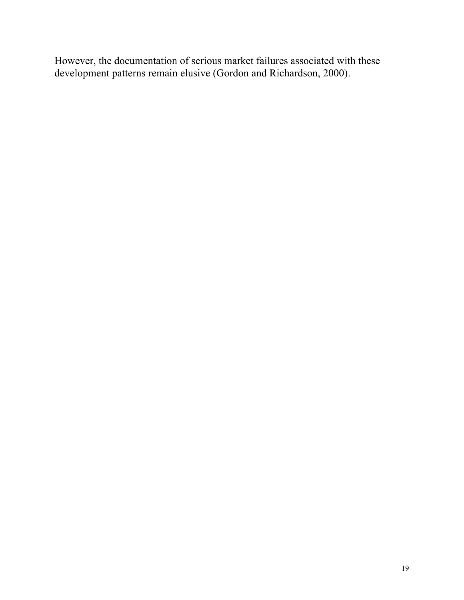However, the documentation of serious market failures associated with these development patterns remain elusive (Gordon and Richardson, 2000).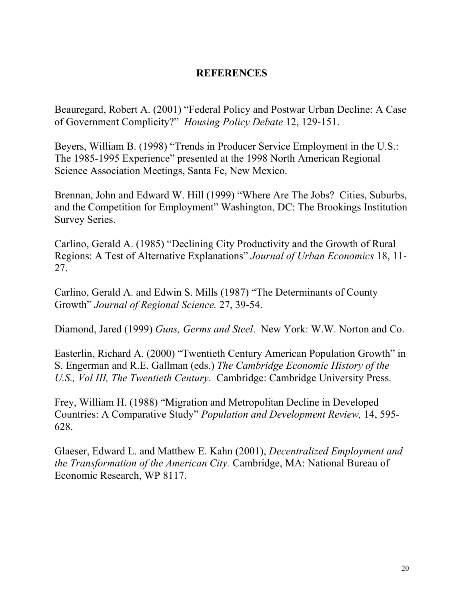### **REFERENCES**

Beauregard, Robert A. (2001) "Federal Policy and Postwar Urban Decline: A Case of Government Complicity?" *Housing Policy Debate* 12, 129-151.

Beyers, William B. (1998) "Trends in Producer Service Employment in the U.S.: The 1985-1995 Experience" presented at the 1998 North American Regional Science Association Meetings, Santa Fe, New Mexico.

Brennan, John and Edward W. Hill (1999) "Where Are The Jobs? Cities, Suburbs, and the Competition for Employment" Washington, DC: The Brookings Institution Survey Series.

Carlino, Gerald A. (1985) "Declining City Productivity and the Growth of Rural Regions: A Test of Alternative Explanations" *Journal of Urban Economics* 18, 11- 27.

Carlino, Gerald A. and Edwin S. Mills (1987) "The Determinants of County Growth" *Journal of Regional Science.* 27, 39-54.

Diamond, Jared (1999) *Guns, Germs and Steel*. New York: W.W. Norton and Co.

Easterlin, Richard A. (2000) "Twentieth Century American Population Growth" in S. Engerman and R.E. Gallman (eds.) *The Cambridge Economic History of the U.S., Vol III, The Twentieth Century*. Cambridge: Cambridge University Press.

Frey, William H. (1988) "Migration and Metropolitan Decline in Developed Countries: A Comparative Study" *Population and Development Review,* 14, 595- 628.

Glaeser, Edward L. and Matthew E. Kahn (2001), *Decentralized Employment and the Transformation of the American City.* Cambridge, MA: National Bureau of Economic Research, WP 8117.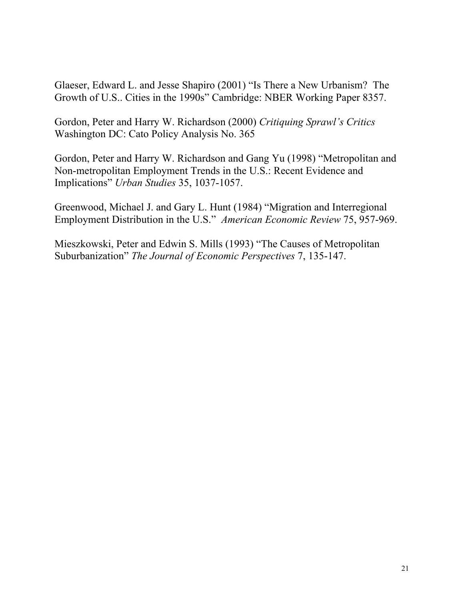Glaeser, Edward L. and Jesse Shapiro (2001) "Is There a New Urbanism? The Growth of U.S.. Cities in the 1990s" Cambridge: NBER Working Paper 8357.

Gordon, Peter and Harry W. Richardson (2000) *Critiquing Sprawl's Critics* Washington DC: Cato Policy Analysis No. 365

Gordon, Peter and Harry W. Richardson and Gang Yu (1998) "Metropolitan and Non-metropolitan Employment Trends in the U.S.: Recent Evidence and Implications" *Urban Studies* 35, 1037-1057.

Greenwood, Michael J. and Gary L. Hunt (1984) "Migration and Interregional Employment Distribution in the U.S." *American Economic Review* 75, 957-969.

Mieszkowski, Peter and Edwin S. Mills (1993) "The Causes of Metropolitan Suburbanization" *The Journal of Economic Perspectives* 7, 135-147.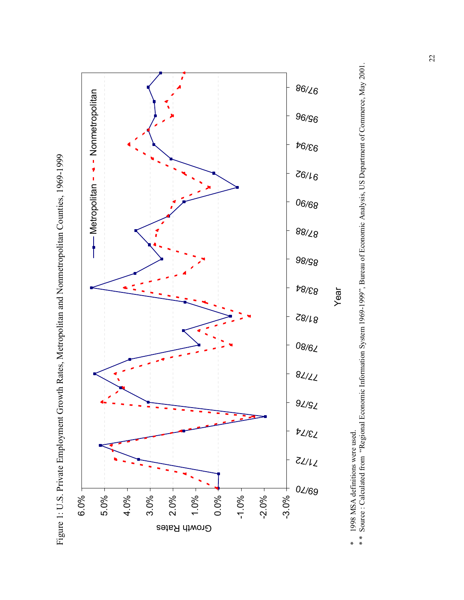



<sup>\*</sup> \* Source : Calculated from "Regional Economic Information System 1969-1999", Bureau of Economic Analysis, US Department of Commerce, May 2001. \* 1998 MSA definitions were used.<br>\*\* Source : Calculated from "Regional Economic Information System 1969-1999", Bureau of Economic Analysis, US Department of Commerce, May 2001. \* 1998 MSA definitions were used.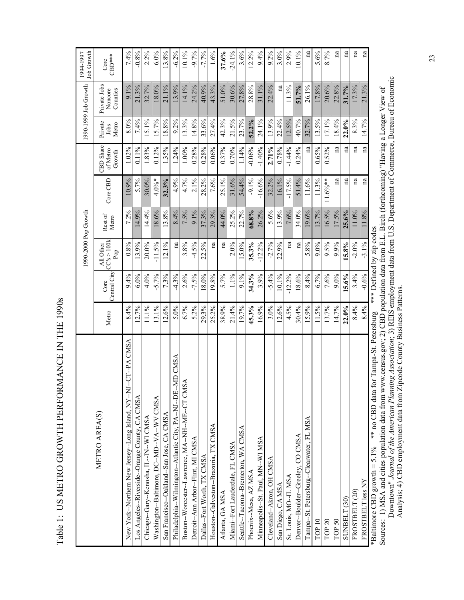| ^<br>^                      |
|-----------------------------|
| トトトート トート・リー<br>I<br>I<br>ı |
| i                           |
|                             |
|                             |
|                             |
| l                           |
| l                           |
|                             |
| こうしん しんしん こうしょう             |
|                             |
| l                           |
| ï                           |
| $\frac{1}{2}$<br>ı          |
| į                           |
| l<br>Ì<br>Ì                 |
|                             |
| l<br>I<br>ı                 |

|                                                                            |       |                      | 1990-2000 Pop Growth            |                  |              |                                 |                          | 1990-1999 Job Growth                | <b>Job Growth</b><br>1994-1997 |
|----------------------------------------------------------------------------|-------|----------------------|---------------------------------|------------------|--------------|---------------------------------|--------------------------|-------------------------------------|--------------------------------|
| METRO AREA(S)                                                              | Metro | Central City<br>Core | CC's > 100k<br>All Other<br>Pop | Rest of<br>Metro | Core CBD     | CBD Share<br>of Metro<br>Growth | Private<br>Metro<br>Jobs | Private Jobs<br>Noncore<br>Counties | $CBD***$<br>Core               |
| <b>L-CT--PA CMSA</b><br>New York--Northern New Jersey--Long Island, NY--NJ | 8.4%  | 9.4%                 | 0.8%                            | 7.2%             | 10.9%        | 1.02%                           | 8.0%                     | 9.1%                                | 7.4%                           |
| Los Angeles--Riverside--Orange County, CA CMSA                             | 12.7% | $6.0\%$              | 13.9%                           | 14.9%            | 5.7%         | $0.11\%$                        | 7.4%                     | 21.3%                               | $-0.8%$                        |
| Chicago--Gary--Kenosha, IL--IN--WI CMSA                                    | 11.1% | 4.0%                 | $20.0\%$                        | 14.4%            | $30.0\%$     | 1.83%                           | 15.1%                    | 32.7%                               | 2.2%                           |
| Washington--Baltimore, DC--MD--VA--WV CMSA                                 | 13.1% | $-5.7%$              | $-11.5%$                        | 18.6%            | $4.0\%$ *    | $0.12\%$                        | 15.7%                    | 18.0%                               | 6.0%                           |
| San Francisco--Oakland--San Jose, CA CMSA                                  | 12.6% | 7.3%                 | 12.1%                           | 13.8%            | 32.3%        | 1.35%                           | 18.8%                    | 21.1%                               | 13.8%                          |
| Philadelphia--Wilmington--Atlantic City, PA--NJ--DE--MD CMSA               | 5.0%  | $-4.3\%$             | na                              | 8.4%             | 4.9%         | 1.24%                           | $9.2\%$                  | 13.9%                               | $-6.2%$                        |
| S <sub>A</sub><br>Boston--Worcester--Lawrence, MA--NH--ME--CT CM           | 6.7%  | 2.6%                 | 3.8%                            | 7.5%             | 4.7%         | 1.00%                           | 13.3%                    | 14.1%                               | 10.1%                          |
| Detroit--Ann Arbor--Flint, MI CMSA                                         | 5.2%  | $-7.5%$              | $-4.5%$                         | 9.1%             | $2.1\%$      | $0.28\%$                        | 14.8%                    | 24.2%                               | $-9.7%$                        |
| Dallas--Fort Worth, TX CMSA                                                | 29.3% | 18.0%                | 22.5%                           | 37.3%            | 28.2%        | 0.28%                           | 33.6%                    | 40.9%                               | $-7.7%$                        |
| Houston--Galveston--Brazoria, TX CMSA                                      | 25.2% | 19.8%                | na                              | 29.3%            | 7.6%         | 0.06%                           | 27.4%                    | 43.3%                               | 1.6%                           |
| Atlanta, GA MSA                                                            | 38.9% | 5.7%                 | na                              | 44.0%            | 25.1%        | $0.37\%$                        | 42.3%                    | 51.0%                               | 37.6%                          |
| Miami--Fort Lauderdale, FL CMSA                                            | 21.4% | 1.1%                 | 2.0%                            | 25.2%            | 31.6%        | 0.70%                           | 21.5%                    | 30.6%                               | $-24.1\%$                      |
| Seattle--Tacoma--Bremerton, WA CMSA                                        | 19.7% | 9.1%                 | 15.0%                           | 22.7%            | 54.4%        | 1.14%                           | 23.7%                    | 27.8%                               | 3.6%                           |
| Phoenix-Mesa, AZ MSA                                                       | 45.3% | 34.3%                | 35.3%                           | 68.8%            | $-9.1\%$     | $-0.06%$                        | 52.2%                    | 28.8%                               | 12.2%                          |
| Minneapolis--St. Paul, MN--WI MSA                                          | 16.9% | 3.9%                 | $-12.2%$                        | 26.2%            | $-16.6%$     | $-1.40%$                        | 24.1%                    | 31.1%                               | 9.4%                           |
| Cleveland--Akron, OH CMSA                                                  | 3.0%  | $-5.4%$              | $-2.7%$                         | 5.6%             | 32.2%        | 2.71%                           | 13.9%                    | 22.4%                               | $9.2\%$                        |
| San Diego, CA MSA                                                          | 12.6% | 10.1%                | 22.9%                           | 13.9%            | 16.1%        | 0.78%                           | 22.4%                    | na                                  | 3.0%                           |
| St. Louis, MO--IL MSA                                                      | 4.5%  | $-12.2%$             | $n$ a                           | 7.6%             | $-17.5%$     | $-1.44%$                        | 12.5%                    | 11.3%                               | 2.9%                           |
| Denver--Boulder--Greeley, CO CMSA                                          | 30.4% | 18.6%                | na                              | 34.0%            | 51.4%        | $0.24\%$                        | 40.7%                    | 51.7%                               | 10.1%                          |
| Tampa--St. Petersburg--Clearwater, FL MSA                                  | 15.9% | 8.4%                 | 5.8%                            | 19.6%            | 11.6%        | na                              | 32.7%                    | 26.1%                               | na                             |
| TOP 10                                                                     | 11.5% | 6.7%                 | $9.0\%$                         | 13.7%            | 11.3%        | 0.65%                           | 13.5%                    | 17.8%                               | 5.6%                           |
| TOP 20                                                                     | 13.7% | 7.6%                 | 9.5%                            | 16.5%            | $11.6\%$ **  | 0.52%                           | 17.1%                    | 20.6%                               | 8.7%                           |
| TOP 50                                                                     | 14.7% | 9.0%                 | 9.9%                            | 17.5%            | $\mathbf{n}$ | na                              | 18.4%                    | 22.8%                               | na                             |
| SUNBELT (30)                                                               | 22.0% | 15.6%                | 15.8%                           | $25.6\%$         | na           | na                              | $22.0\%$                 | 31.7%                               | na                             |
| FROSTBELT (20)                                                             | 8.4%  | 3.4%                 | $-2.0%$                         | 11.0%            | na           | na                              | 8.3%                     | 17.3%                               | na                             |
| FROSTBELT less NY                                                          | 8.4%  | $-0.6%$              | $-3.1\%$                        | 11.8%            | na           | na                              | 14.7%                    | 21.3%                               | $\mathbf{n}$                   |
| ** no CBD data for Tampa-St. Petersburg<br>*Baltimore CBD growth = $5.1\%$ |       |                      | *** Defined by zip codes        |                  |              |                                 |                          |                                     |                                |

\*Baltimore CBD growth = 5.1% \*\* no CBD data for Tampa-St. Petersburg \*\*\* Defined by zip codes

Sources: 1) MSA and cities population data from www.census.gov; 2) CBD population data from E.L. Birch (forthcoming) "Having a Longer View of<br>Downtown" Journal of the American Planning Association; 3) REIS employment data Downtown" *Journal of the American Planning Association*; 3) REIS employment data from U.S. Department of Commerce, Bureau of Economic Sources: 1) MSA and cities population data from www.census.gov; 2) CBD population data from E.L. Birch (forthcoming) "Having a Longer View of Analysis; 4) CBD employment data from Zipcode County Business Patterns.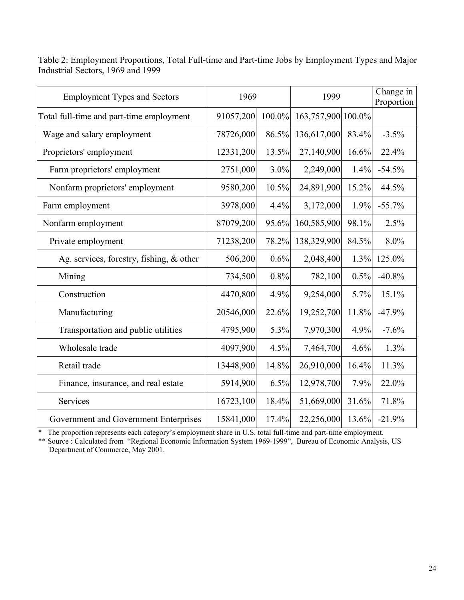| <b>Employment Types and Sectors</b>         | 1969      |        | 1999               |       | Change in<br>Proportion |
|---------------------------------------------|-----------|--------|--------------------|-------|-------------------------|
| Total full-time and part-time employment    | 91057,200 | 100.0% | 163,757,900 100.0% |       |                         |
| Wage and salary employment                  | 78726,000 | 86.5%  | 136,617,000        | 83.4% | $-3.5%$                 |
| Proprietors' employment                     | 12331,200 | 13.5%  | 27,140,900         | 16.6% | 22.4%                   |
| Farm proprietors' employment                | 2751,000  | 3.0%   | 2,249,000          | 1.4%  | $-54.5%$                |
| Nonfarm proprietors' employment             | 9580,200  | 10.5%  | 24,891,900         | 15.2% | 44.5%                   |
| Farm employment                             | 3978,000  | 4.4%   | 3,172,000          | 1.9%  | $-55.7%$                |
| Nonfarm employment                          | 87079,200 | 95.6%  | 160,585,900        | 98.1% | 2.5%                    |
| Private employment                          | 71238,200 | 78.2%  | 138,329,900        | 84.5% | 8.0%                    |
| Ag. services, forestry, fishing, $\&$ other | 506,200   | 0.6%   | 2,048,400          | 1.3%  | 125.0%                  |
| Mining                                      | 734,500   | 0.8%   | 782,100            | 0.5%  | $-40.8%$                |
| Construction                                | 4470,800  | 4.9%   | 9,254,000          | 5.7%  | 15.1%                   |
| Manufacturing                               | 20546,000 | 22.6%  | 19,252,700         | 11.8% | $-47.9%$                |
| Transportation and public utilities         | 4795,900  | 5.3%   | 7,970,300          | 4.9%  | $-7.6%$                 |
| Wholesale trade                             | 4097,900  | 4.5%   | 7,464,700          | 4.6%  | 1.3%                    |
| Retail trade                                | 13448,900 | 14.8%  | 26,910,000         | 16.4% | 11.3%                   |
| Finance, insurance, and real estate         | 5914,900  | 6.5%   | 12,978,700         | 7.9%  | 22.0%                   |
| Services                                    | 16723,100 | 18.4%  | 51,669,000         | 31.6% | 71.8%                   |
| Government and Government Enterprises       | 15841,000 | 17.4%  | 22,256,000         | 13.6% | $-21.9%$                |

Table 2: Employment Proportions, Total Full-time and Part-time Jobs by Employment Types and Major Industrial Sectors, 1969 and 1999

\* The proportion represents each category's employment share in U.S. total full-time and part-time employment.

\*\* Source : Calculated from "Regional Economic Information System 1969-1999", Bureau of Economic Analysis, US Department of Commerce, May 2001.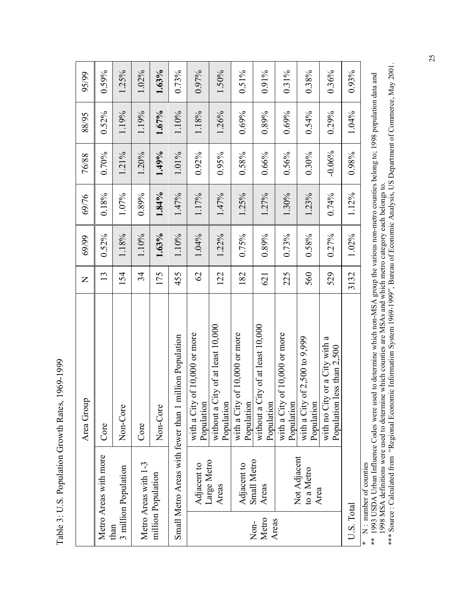Table 3: U.S. Population Growth Rates, 1969-1999 Table 3: U.S. Population Growth Rates, 1969-1999

| 88/95<br>76/88<br>69/76<br>69/99<br>$\mathsf{Z}$ | $0.52\%$<br>$0.70\%$<br>0.18%<br>$0.52\%$<br>13 | 1.19%<br>1.21%<br>1.07%<br>1.18%<br>154 | 1.19%<br>1.20%<br>0.89%<br>1.10%<br>34 | 1.67%<br>1.49%<br>1.84%<br>1.63%<br>175 | 1.10%<br>1.01%<br>1.47%<br>1.10%<br>455                | 1.18%<br>$0.92\%$<br>1.17%<br>1.04%<br>$\mathcal{O}$<br>of 10,000 or more | 1.26%<br>0.95%<br>1.47%<br>1.22%<br>122<br>without a City of at least 10,000 | 0.69%<br>0.58%<br>1.25%<br>$0.75\%$<br>182<br>of 10,000 or more | 0.89%<br>0.66%<br>1.27%<br>0.89%<br>621<br>without a City of at least 10,000 | 0.69%<br>0.56%<br>1.30%<br>0.73%<br>225<br>of $10,000$ or more | 0.54%<br>$0.30\%$<br>1.23%<br>$0.58\%$<br>560<br>of 2,500 to 9,999 | 0.29%<br>$-0.06%$<br>0.74%<br>0.27%<br>529<br>with no City or a City with a<br>less than $2,500$ | 1.04%<br>0.98%<br>1.12%<br>1.02%<br>3132 |
|--------------------------------------------------|-------------------------------------------------|-----------------------------------------|----------------------------------------|-----------------------------------------|--------------------------------------------------------|---------------------------------------------------------------------------|------------------------------------------------------------------------------|-----------------------------------------------------------------|------------------------------------------------------------------------------|----------------------------------------------------------------|--------------------------------------------------------------------|--------------------------------------------------------------------------------------------------|------------------------------------------|
| Area Group                                       | Core                                            | Non-Core                                | Core                                   | Non-Core                                |                                                        | with a City<br>Population                                                 | Population                                                                   | with a City<br>Population                                       | Population                                                                   | with a City<br>Population                                      | with a City<br>Population                                          | Population                                                                                       |                                          |
|                                                  | Metro Areas with more                           | 3 million Population<br>than            | Metro Areas with 1-3                   | million Population                      | Small Metro Areas with fewer than 1 million Population | Adjacent to                                                               | Large Metro<br>Areas                                                         | Adjacent to                                                     | Small Metro<br>Areas<br>Metro<br>Non-                                        | Areas                                                          | Not Adjacent<br>to a Metro                                         | Area                                                                                             | $U.S.$ $\rm Total$                       |

\* N : number of counties

\*\*\* Source : Calculated from "Regional Economic Information System 1969-1999", Bureau of Economic Analysis, US Department of Commerce, May 2001. 1998 MSA definitions were used to determine which counties are MSAs and which metro category each belongs to.<br>\*\*\* Source : Calculated from "Regional Economic Information System 1969-1999", Bureau of Economic Analysis, US D \* N: number or countes<br>\*\* 1993 USDA Urban Influence Codes were used to determine which non-MSA group the various non-metro counties belong to; 1998 population data and \*\* 1993 USDA Urban Influence Codes were used to determine which non-MSA group the various non-metro counties belong to; 1998 population data and 1998 MSA definitions were used to determine which counties are MSAs and which metro category each belongs to.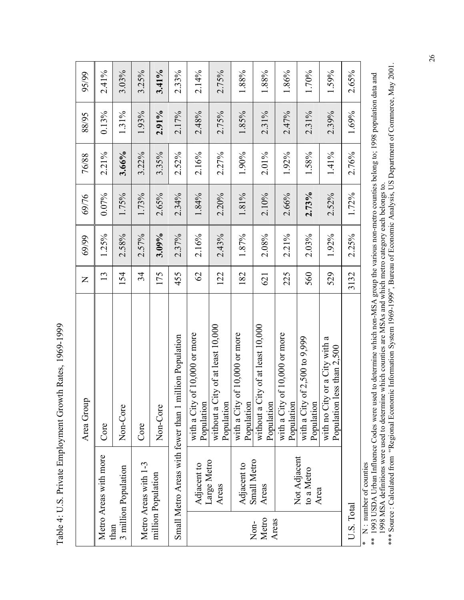Table 4: U.S. Private Employment Growth Rates, 1969-1999 Table 4: U.S. Private Employment Growth Rates, 1969-1999

|                        |                       | Area Group                                                       | $\mathsf{Z}$  | 69/99    | 69/76 | 76/88    | 88/95 | 95/99 |
|------------------------|-----------------------|------------------------------------------------------------------|---------------|----------|-------|----------|-------|-------|
| than                   | Metro Areas with more | Core                                                             | 13            | 1.25%    | 0.07% | 2.21%    | 0.13% | 2.41% |
|                        | 3 million Population  | Non-Core                                                         | 154           | 2.58%    | 1.75% | 3.66%    | 1.31% | 3.03% |
|                        | Metro Areas with 1-3  | Core                                                             | 34            | 2.57%    | 1.73% | 3.22%    | 1.93% | 3.25% |
|                        | million Population    | Non-Core                                                         | 175           | 3.09%    | 2.65% | 3.35%    | 2.91% | 3.41% |
|                        |                       | Small Metro Areas with fewer than 1 million Population           | 455           | 2.37%    | 2.34% | $2.52\%$ | 2.17% | 2.33% |
|                        | Adjacent to           | of 10,000 or more<br>with a City<br>Population                   | $\mathcal{O}$ | 2.16%    | 1.84% | 2.16%    | 2.48% | 2.14% |
|                        | Large Metro<br>Areas  | without a City of at least 10,000<br>Population                  | 122           | 2.43%    | 2.20% | 2.27%    | 2.75% | 2.75% |
|                        | Adjacent to           | of 10,000 or more<br>with a City<br>Population                   | 182           | 1.87%    | 1.81% | 1.90%    | 1.85% | 1.88% |
| Metro<br>Areas<br>Non- | Small Metro<br>Areas  | without a City of at least 10,000<br>Population                  | 621           | 2.08%    | 2.10% | 2.01%    | 2.31% | 1.88% |
|                        | Not Adjacent          | of 10,000 or more<br>with a City<br>Population                   | 225           | 2.21%    | 2.66% | 1.92%    | 2.47% | 1.86% |
|                        | to a Metro<br>Area    | of 2,500 to 9,999<br>with a City<br>Population                   | 560           | $2.03\%$ | 2.73% | 1.58%    | 2.31% | 1.70% |
|                        |                       | with no City or a City with a<br>less than $2,500$<br>Population | 529           | 1.92%    | 2.52% | $1.41\%$ | 2.39% | 1.59% |
| U.S. Total             |                       |                                                                  | 3132          | 2.25%    | 1.72% | 2.76%    | 1.69% | 2.65% |
|                        | modar of counting     |                                                                  |               |          |       |          |       |       |

\* N : number of counties

1998 MSA definitions were used to determine which counties are MSAs and which metro category each belongs to.<br>\*\*\* Source : Calculated from "Regional Economic Information System 1969-1999", Bureau of Economic Analysis, US D \* N : number of counties<br>\*\* 1993 USDA Urban Influence Codes were used to determine which non-MSA group the various non-metro counties belong to; 1998 population data and \*\* 1993 USDA Urban Influence Codes were used to determine which non-MSA group the various non-metro counties belong to; 1998 population data and 1998 MSA definitions were used to determine which counties are MSAs and which metro category each belongs to.

\*\*\* Source : Calculated from "Regional Economic Information System 1969-1999", Bureau of Economic Analysis, US Department of Commerce, May 2001.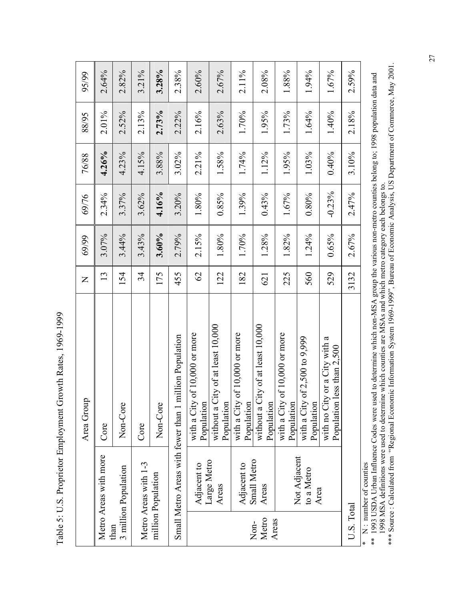Table 5: U.S. Proprietor Employment Growth Rates, 1969-1999 Table 5: U.S. Proprietor Employment Growth Rates, 1969-1999

|               |                                    | Area Group                                                       | $\mathsf{z}$  | 69/99 | 69/76    | 76/88    | 88/95    | 95/99 |
|---------------|------------------------------------|------------------------------------------------------------------|---------------|-------|----------|----------|----------|-------|
|               | Metro Areas with more              | Core                                                             | 13            | 3.07% | 2.34%    | 4.26%    | 2.01%    | 2.64% |
| than          | 3 million Population               | Non-Core                                                         | 154           | 3.44% | 3.37%    | 4.23%    | $2.52\%$ | 2.82% |
|               | Metro Areas with 1-3               | Core                                                             | 34            | 3.43% | 3.62%    | 4.15%    | 2.13%    | 3.21% |
|               | million Population                 | Non-Core                                                         | 175           | 3.60% | 4.16%    | 3.88%    | 2.73%    | 3.28% |
|               |                                    | Small Metro Areas with fewer than 1 million Population           | 455           | 2.79% | 3.20%    | $3.02\%$ | 2.22%    | 2.38% |
|               | Adjacent to                        | with a City of 10,000 or more<br>Population                      | $\mathcal{O}$ | 2.15% | 1.80%    | 2.21%    | 2.16%    | 2.60% |
|               | Large Metro<br>Areas               | without a City of at least 10,000<br>Population                  | 122           | 1.80% | 0.85%    | 1.58%    | 2.63%    | 2.67% |
|               | Adjacent to                        | with a City of 10,000 or more<br>Population                      | 182           | 1.70% | 1.39%    | 1.74%    | 1.70%    | 2.11% |
| Metro<br>Non- | Small Metro<br>Areas               | without a City of at least 10,000<br>Population                  | 621           | 1.28% | 0.43%    | 1.12%    | 1.95%    | 2.08% |
| Areas         |                                    | of $10,000$ or more<br>with a City<br>Population                 | 225           | 1.82% | 1.67%    | 1.95%    | 1.73%    | 1.88% |
|               | Not Adjacent<br>to a Metro<br>Area | of 2,500 to 9,999<br>with a City<br>Population                   | 560           | 1.24% | 0.80%    | 1.03%    | 1.64%    | 1.94% |
|               |                                    | with no City or a City with a<br>less than $2,500$<br>Population | 529           | 0.65% | $-0.23%$ | 0.40%    | 1.40%    | 1.67% |
| U.S. Total    |                                    |                                                                  | 3132          | 2.67% | 2.47%    | 3.10%    | 2.18%    | 2.59% |
|               | $* \mathbf{N}$ mumber of counties  |                                                                  |               |       |          |          |          |       |

\* N : number of counties

1998 MSA definitions were used to determine which counties are MSAs and which metro category each belongs to.<br>\*\*\* Source : Calculated from "Regional Economic Information System 1969-1999", Bureau of Economic Analysis, US D A section of the matter of counties<br>
1993 USDA Urban Influence Codes were used to determine which non-MSA group the various non-metro counties belong to; 1998 population data and \*\* 1993 USDA Urban Influence Codes were used to determine which non-MSA group the various non-metro counties belong to; 1998 population data and 1998 MSA definitions were used to determine which counties are MSAs and which metro category each belongs to.

\*\*\* Source : Calculated from "Regional Economic Information System 1969-1999", Bureau of Economic Analysis, US Department of Commerce, May 2001.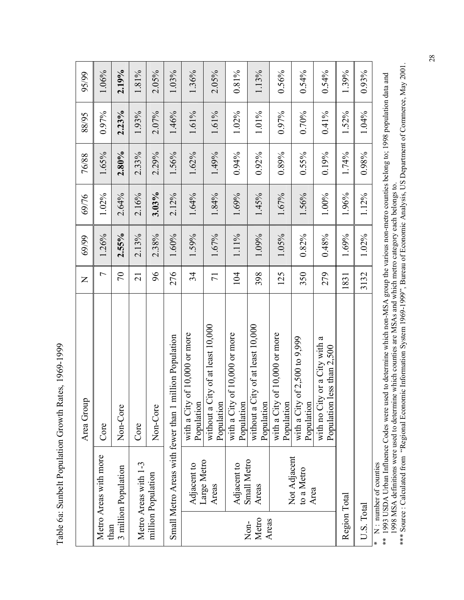Table 6a: Sunbelt Population Growth Rates, 1969-1999 Table 6a: Sunbelt Population Growth Rates, 1969-1999

| 95/99<br>88/95<br>76/88<br>69/76<br>69/99<br>$\overline{z}$ | 1.06%<br>0.97%<br>1.65%<br>1.02%<br>1.26%<br>$\overline{ }$ | 2.19%<br>2.23%<br>2.80%<br>2.64%<br>2.55%<br>$\sqrt{2}$ | 1.81%<br>1.93%<br>2.33%<br>2.16%<br>2.13%<br>$\overline{21}$ | $2.05\%$<br>2.07%<br>2.29%<br>$3.03\%$<br>2.38%<br>96 | 1.03%<br>1.46%<br>1.56%<br>2.12%<br>1.60%<br>276       | 1.36%<br>1.61%<br>1.62%<br>1.64%<br>1.59%<br>34<br>of 10,000 or more | $2.05\%$<br>1.61%<br>1.49%<br>1.84%<br>1.67%<br>$\overline{71}$ | $0.81\%$<br>1.02%<br>0.94%<br>1.69%<br>1.11%<br>104<br>of 10,000 or more | 1.13%<br>1.01%<br>$0.92\%$<br>1.45%<br>1.09%<br>398 | 0.56%<br>0.97%<br>0.89%<br>1.67%<br>1.05%<br>125 | $0.54\%$<br>0.70%<br>$0.55\%$<br>1.56%<br>0.82%<br>350<br>of 2,500 to 9,999 | $0.54\%$<br>$0.41\%$<br>0.19%<br>1.00%<br>$0.48\%$<br>279<br>less than $2,500$ | 1.39%<br>1.52%<br>1.74%<br>1.96%<br>1.69%<br>1831 | 0.93%<br>1.04%<br>0.98%<br>1.12%<br>1.02%<br>3132 |
|-------------------------------------------------------------|-------------------------------------------------------------|---------------------------------------------------------|--------------------------------------------------------------|-------------------------------------------------------|--------------------------------------------------------|----------------------------------------------------------------------|-----------------------------------------------------------------|--------------------------------------------------------------------------|-----------------------------------------------------|--------------------------------------------------|-----------------------------------------------------------------------------|--------------------------------------------------------------------------------|---------------------------------------------------|---------------------------------------------------|
| Area Group                                                  | Core                                                        | Non-Core                                                | Core                                                         | Non-Core                                              | Small Metro Areas with fewer than 1 million Population | with a City<br>Population                                            | without a City of at least 10,000<br>Population                 | with a City<br>Population                                                | without a City of at least 10,000<br>Population     | with a City of 10,000 or more<br>Population      | with a City<br>Population                                                   | with no City or a City with a<br>Population                                    |                                                   |                                                   |
|                                                             | Metro Areas with more<br>than                               | 3 million Population                                    | Metro Areas with 1-3                                         | million Population                                    |                                                        | Adjacent to                                                          | Large Metro<br>Areas                                            | Adjacent to                                                              | Small Metro<br>Areas<br>Metro<br>Non-               | Areas                                            | Not Adjacent<br>to a Metro<br>Area                                          |                                                                                | Region Total                                      | U.S. Total                                        |

\* N : number of counties

\* N : number of counties<br>\*\* 1993 USDA Urban Influence Codes were used to determine which non-MSA group the various non-metro counties belong to; 1998 population data and<br>1998 MSA definitions were used to determine which co \*\* 1993 USDA Urban Influence Codes were used to determine which non-MSA group the various non-metro counties belong to; 1998 population data and 1998 MSA definitions were used to determine which counties are MSAs and which metro category each belongs to.

\*\*\* Source : Calculated from "Regional Economic Information System 1969-1999", Bureau of Economic Analysis, US Department of Commerce, May 2001.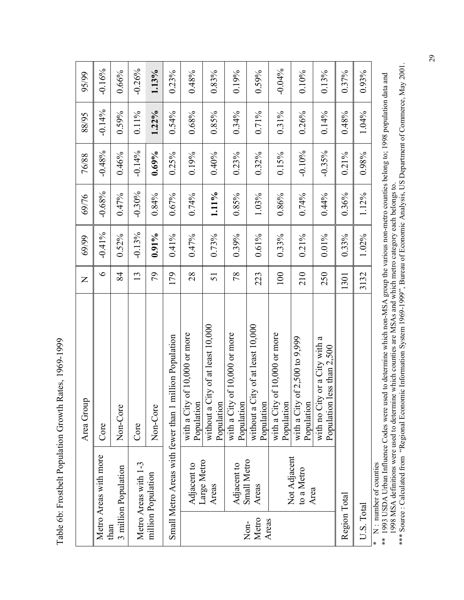Table 6b: Frostbelt Population Growth Rates, 1969-1999 Table 6b: Frostbelt Population Growth Rates, 1969-1999

|                        |                                    | Area Group                                                       | $\overline{z}$ | 69/99     | 69/76    | 76/88    | 88/95    | 95/99    |
|------------------------|------------------------------------|------------------------------------------------------------------|----------------|-----------|----------|----------|----------|----------|
| than                   | Metro Areas with more              | Core                                                             | $\bullet$      | $-0.41\%$ | $-0.68%$ | $-0.48%$ | $-0.14%$ | $-0.16%$ |
|                        | 3 million Population               | Non-Core                                                         | 84             | $0.52\%$  | 0.47%    | 0.46%    | $0.59\%$ | 0.66%    |
|                        | Metro Areas with 1-3               | Core                                                             | 13             | $-0.13%$  | $-0.30%$ | $-0.14%$ | $0.11\%$ | $-0.26%$ |
|                        | million Population                 | Non-Core                                                         | 56             | $0.91\%$  | 0.84%    | 0.69%    | $1.22\%$ | 1.13%    |
|                        |                                    | Small Metro Areas with fewer than 1 million Population           | 179            | $0.41\%$  | 0.67%    | 0.25%    | 0.54%    | 0.23%    |
|                        | Adjacent to                        | of 10,000 or more<br>with a City<br>Population                   | 28             | 0.47%     | 0.74%    | 0.19%    | 0.68%    | $0.48\%$ |
|                        | Large Metro<br>Areas               | without a City of at least 10,000<br>Population                  | 51             | 0.73%     | 1.11%    | 0.40%    | 0.85%    | 0.83%    |
|                        | Adjacent to                        | of $10,000$ or more<br>with a City<br>Population                 | 78             | 0.39%     | 0.85%    | 0.23%    | $0.34\%$ | 0.19%    |
| Metro<br>Areas<br>Non- | Small Metro<br>Areas               | without a City of at least 10,000<br>Population                  | 223            | $0.61\%$  | 1.03%    | $0.32\%$ | $0.71\%$ | $0.59\%$ |
|                        |                                    | of $10,000$ or more<br>with a City<br>Population                 | 100            | 0.33%     | 0.86%    | 0.15%    | $0.31\%$ | $-0.04%$ |
|                        | Not Adjacent<br>to a Metro<br>Area | of 2,500 to 9,999<br>with a City<br>Population                   | 210            | $0.21\%$  | 0.74%    | $-0.10%$ | 0.26%    | 0.10%    |
|                        |                                    | with no City or a City with a<br>less than $2,500$<br>Population | 250            | $0.01\%$  | 0.44%    | $-0.35%$ | $0.14\%$ | 0.13%    |
| Region Total           |                                    |                                                                  | 1301           | 0.33%     | 0.36%    | $0.21\%$ | $0.48\%$ | 0.37%    |
| U.S. Total             |                                    |                                                                  | 3132           | 1.02%     | 1.12%    | 0.98%    | 1.04%    | 0.93%    |
|                        | $* \mathbf{N}$ mumber of counties  |                                                                  |                |           |          |          |          |          |

\* N : number of counties

\* N : number of counties<br>\*\* 1993 USDA Urban Influence Codes were used to determine which non-MSA group the various non-metro counties belong to; 1998 population data and<br>1998 MSA definitions were used to determine which co \*\* 1993 USDA Urban Influence Codes were used to determine which non-MSA group the various non-metro counties belong to; 1998 population data and 1998 MSA definitions were used to determine which counties are MSAs and which metro category each belongs to.

\*\*\* Source : Calculated from "Regional Economic Information System 1969-1999", Bureau of Economic Analysis, US Department of Commerce, May 2001.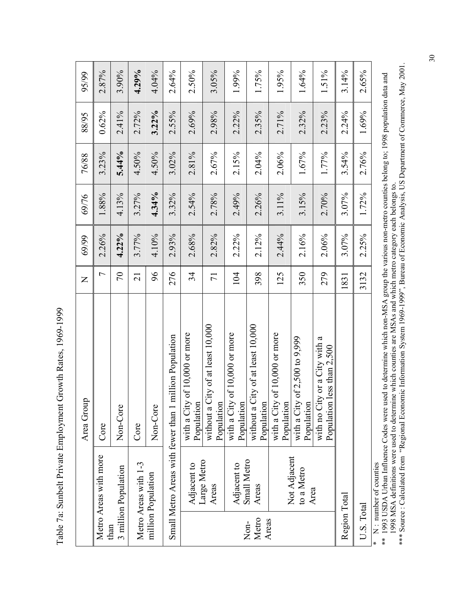Table 7a: Sunbelt Private Employment Growth Rates, 1969-1999 Table 7a: Sunbelt Private Employment Growth Rates, 1969-1999

|               |                            | Area Group                                                       | $\mathsf{Z}$    | 69/99 | 69/76 | 76/88 | 88/95    | 95/99 |
|---------------|----------------------------|------------------------------------------------------------------|-----------------|-------|-------|-------|----------|-------|
|               | Metro Areas with more      | Core                                                             | $\overline{ }$  | 2.26% | 1.88% | 3.23% | 0.62%    | 2.87% |
| than          | 3 million Population       | Non-Core                                                         | $\sqrt{2}$      | 4.22% | 4.13% | 5.44% | $2.41\%$ | 3.90% |
|               | Metro Areas with 1-3       | Core                                                             | $\overline{21}$ | 3.77% | 3.27% | 4.50% | 2.72%    | 4.29% |
|               | million Population         | Non-Core                                                         | 96              | 4.10% | 4.34% | 4.50% | 3.22%    | 4.04% |
|               |                            | Small Metro Areas with fewer than 1 million Population           | 276             | 2.93% | 3.32% | 3.02% | 2.55%    | 2.64% |
|               | Adjacent to                | of 10,000 or more<br>with a City<br>Population                   | 34              | 2.68% | 2.54% | 2.81% | 2.69%    | 2.50% |
|               | Large Metro<br>Areas       | without a City of at least 10,000<br>Population                  | $\overline{7}$  | 2.82% | 2.78% | 2.67% | 2.98%    | 3.05% |
|               | Adjacent to                | of $10,000$ or more<br>with a City<br>Population                 | 104             | 2.22% | 2.49% | 2.15% | 2.22%    | 1.99% |
| Metro<br>Non- | Small Metro<br>Areas       | without a City of at least 10,000<br>Population                  | 398             | 2.12% | 2.26% | 2.04% | 2.35%    | 1.75% |
| Areas         |                            | of 10,000 or more<br>with a City<br>Population                   | 125             | 2.44% | 3.11% | 2.06% | 2.71%    | 1.95% |
|               | Not Adjacent<br>to a Metro | with a City of $2,500$ to $9,999$<br>Population                  | 350             | 2.16% | 3.15% | 1.67% | 2.32%    | 1.64% |
|               | Area                       | with no City or a City with a<br>less than $2,500$<br>Population | 279             | 2.06% | 2.70% | 1.77% | 2.23%    | 1.51% |
| Region Total  |                            |                                                                  | 1831            | 3.07% | 3.07% | 3.54% | 2.24%    | 3.14% |
| U.S. Total    |                            |                                                                  | 3132            | 2.25% | 1.72% | 2.76% | 1.69%    | 2.65% |
|               | $N:$ number of counties    |                                                                  |                 |       |       |       |          |       |

\*\* 1993 USDA Urban Influence Codes were used to determine which non-MSA group the various non-metro counties belong to; 1998 population data and<br>1998 MSA definitions were used to determine which counties are MSAs and which \*\* 1993 USDA Urban Influence Codes were used to determine which non-MSA group the various non-metro counties belong to; 1998 population data and 1998 MSA definitions were used to determine which counties are MSAs and which metro category each belongs to.

\*\*\* Source : Calculated from "Regional Economic Information System 1969-1999", Bureau of Economic Analysis, US Department of Commerce, May 2001.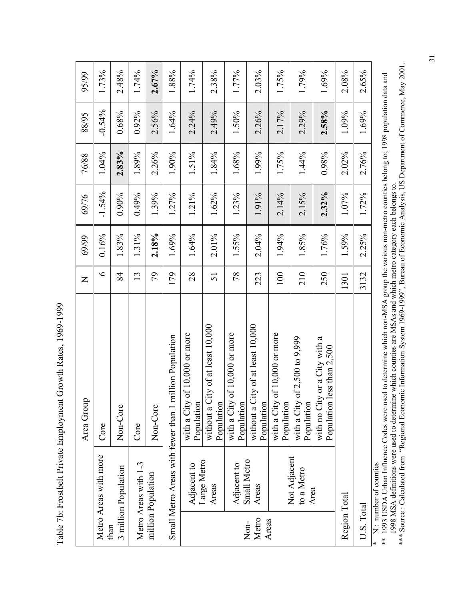Table 7b: Frostbelt Private Employment Growth Rates, 1969-1999 Table 7b: Frostbelt Private Employment Growth Rates, 1969-1999

|               |                            | Area Group                                                       | $\mathsf{Z}$ | 69/99 | 69/76    | 76/88    | 88/95    | 95/99    |
|---------------|----------------------------|------------------------------------------------------------------|--------------|-------|----------|----------|----------|----------|
|               | Metro Areas with more      | Core                                                             | $\circ$      | 0.16% | $-1.54%$ | 1.04%    | $-0.54%$ | 1.73%    |
| than          | 3 million Population       | Non-Core                                                         | 84           | 1.83% | $0.90\%$ | 2.83%    | 0.68%    | 2.48%    |
|               | Metro Areas with 1-3       | Core                                                             | 13           | 1.31% | 0.49%    | 1.89%    | $0.92\%$ | 1.74%    |
|               | million Population         | Non-Core                                                         | 79           | 2.18% | 1.39%    | 2.26%    | 2.56%    | $2.67\%$ |
|               |                            | Small Metro Areas with fewer than 1 million Population           | 179          | 1.69% | 1.27%    | 1.90%    | 1.64%    | 1.88%    |
|               | Adjacent to                | with a City of 10,000 or more<br>Population                      | 28           | 1.64% | 1.21%    | 1.51%    | 2.24%    | 1.74%    |
|               | Large Metro<br>Areas       | without a City of at least 10,000<br>Population                  | 51           | 2.01% | 1.62%    | 1.84%    | 2.49%    | 2.38%    |
|               | Adjacent to                | of $10,000$ or more<br>with a City<br>Population                 | 78           | 1.55% | 1.23%    | 1.68%    | 1.50%    | 1.77%    |
| Metro<br>Non- | Small Metro<br>Areas       | without a City of at least 10,000<br>Population                  | 223          | 2.04% | 1.91%    | 1.99%    | 2.26%    | $2.03\%$ |
| Areas         |                            | of 10,000 or more<br>with a City<br>Population                   | 100          | 1.94% | 2.14%    | 1.75%    | 2.17%    | 1.75%    |
|               | Not Adjacent<br>to a Metro | of 2,500 to 9,999<br>with a City<br>Population                   | 210          | 1.85% | 2.15%    | 1.44%    | 2.29%    | 1.79%    |
|               | Area                       | with no City or a City with a<br>less than $2,500$<br>Population | 250          | 1.76% | $2.32\%$ | $0.98\%$ | 2.58%    | 1.69%    |
| Region Total  |                            |                                                                  | 1301         | 1.59% | 1.07%    | $2.02\%$ | 1.09%    | 2.08%    |
| U.S. Total    |                            |                                                                  | 3132         | 2.25% | 1.72%    | 2.76%    | 1.69%    | 2.65%    |
|               | $*$ N : number of counties |                                                                  |              |       |          |          |          |          |

\*\* 1993 USDA Urban Influence Codes were used to determine which non-MSA group the various non-metro counties belong to; 1998 population data and<br>1998 MSA definitions were used to determine which counties are MSAs and which \*\* 1993 USDA Urban Influence Codes were used to determine which non-MSA group the various non-metro counties belong to; 1998 population data and 1998 MSA definitions were used to determine which counties are MSAs and which metro category each belongs to.

\*\*\* Source : Calculated from "Regional Economic Information System 1969-1999", Bureau of Economic Analysis, US Department of Commerce, May 2001.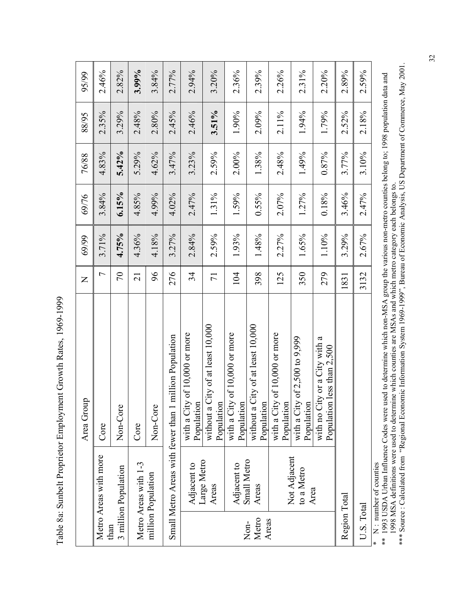Table 8a: Sunbelt Proprietor Employment Growth Rates, 1969-1999 Table 8a: Sunbelt Proprietor Employment Growth Rates, 1969-1999

|                        |                                    | Area Group                                                       | $\mathsf{Z}$    | 69/99 | 69/76    | 76/88 | 88/95 | 95/99 |
|------------------------|------------------------------------|------------------------------------------------------------------|-----------------|-------|----------|-------|-------|-------|
|                        | Metro Areas with more              | Core                                                             | $\overline{ }$  | 3.71% | 3.84%    | 4.83% | 2.35% | 2.46% |
| than                   | 3 million Population               | Non-Core                                                         | $\sqrt{2}$      | 4.75% | 6.15%    | 5.42% | 3.29% | 2.82% |
|                        | Metro Areas with 1-3               | Core                                                             | $\overline{21}$ | 4.36% | 4.85%    | 5.29% | 2.48% | 3.99% |
|                        | million Population                 | Non-Core                                                         | 96              | 4.18% | 4.99%    | 4.62% | 2.80% | 3.84% |
|                        |                                    | Small Metro Areas with fewer than 1 million Population           | 276             | 3.27% | 4.02%    | 3.47% | 2.45% | 2.77% |
|                        | Adjacent to                        | with a City of 10,000 or more<br>Population                      | 34              | 2.84% | 2.47%    | 3.23% | 2.46% | 2.94% |
|                        | Large Metro<br>Areas               | without a City of at least 10,000<br>Population                  | $\overline{7}$  | 2.59% | 1.31%    | 2.59% | 3.51% | 3.20% |
|                        | Adjacent to                        | of 10,000 or more<br>with a City<br>Population                   | 104             | 1.93% | 1.59%    | 2.00% | 1.90% | 2.36% |
| Metro<br>Areas<br>Non- | Small Metro<br>Areas               | without a City of at least 10,000<br>Population                  | 398             | 1.48% | $0.55\%$ | 1.38% | 2.09% | 2.39% |
|                        |                                    | of 10,000 or more<br>with a City<br>Population                   | 125             | 2.27% | 2.07%    | 2.48% | 2.11% | 2.26% |
|                        | Not Adjacent<br>to a Metro<br>Area | of 2,500 to 9,999<br>with a City<br>Population                   | 350             | 1.65% | 1.27%    | 1.49% | 1.94% | 2.31% |
|                        |                                    | with no City or a City with a<br>less than $2,500$<br>Population | 279             | 1.10% | 0.18%    | 0.87% | 1.79% | 2.20% |
| Region Total           |                                    |                                                                  | 1831            | 3.29% | 3.46%    | 3.77% | 2.52% | 2.89% |
| U.S. Total             |                                    |                                                                  | 3132            | 2.67% | 2.47%    | 3.10% | 2.18% | 2.59% |
|                        | $* N$ number of counties           |                                                                  |                 |       |          |       |       |       |

\* N : number of counties

\*\* 1993 USDA Urban Influence Codes were used to determine which non-MSA group the various non-metro counties belong to; 1998 population data and<br>1998 MSA definitions were used to determine which counties are MSAs and which \*\* 1993 USDA Urban Influence Codes were used to determine which non-MSA group the various non-metro counties belong to; 1998 population data and 1998 MSA definitions were used to determine which counties are MSAs and which metro category each belongs to.

\*\*\* Source : Calculated from "Regional Economic Information System 1969-1999", Bureau of Economic Analysis, US Department of Commerce, May 2001.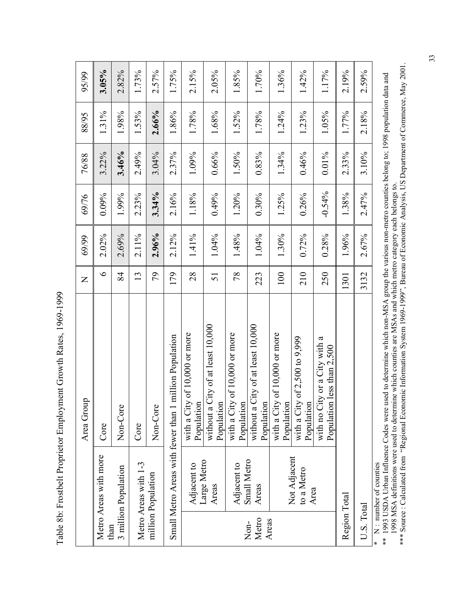Table 8b: Frostbelt Proprietor Employment Growth Rates, 1969-1999 Table 8b: Frostbelt Proprietor Employment Growth Rates, 1969-1999

|                        |                                    | Area Group                                                       | $\mathsf{Z}$ | 69/99    | 69/76    | 76/88    | 88/95    | 95/99    |
|------------------------|------------------------------------|------------------------------------------------------------------|--------------|----------|----------|----------|----------|----------|
| than                   | Metro Areas with more              | Core                                                             | $\circ$      | $2.02\%$ | 0.09%    | 3.22%    | 1.31%    | 3.05%    |
|                        | 3 million Population               | Non-Core                                                         | 84           | 2.69%    | 1.99%    | 3.46%    | 1.98%    | 2.82%    |
|                        | Metro Areas with 1-3               | Core                                                             | 13           | 2.11%    | 2.23%    | 2.49%    | 1.53%    | 1.73%    |
|                        | million Population                 | Non-Core                                                         | 79           | 2.96%    | 3.34%    | 3.04%    | 2.66%    | 2.57%    |
|                        |                                    | Small Metro Areas with fewer than 1 million Population           | 179          | $2.12\%$ | 2.16%    | 2.37%    | 1.86%    | 1.75%    |
|                        | Adjacent to                        | of $10,000$ or more<br>with a City<br>Population                 | 28           | 1.41%    | 1.18%    | 1.09%    | 1.78%    | 2.15%    |
|                        | Large Metro<br>Areas               | without a City of at least 10,000<br>Population                  | 51           | 1.04%    | 0.49%    | 0.66%    | 1.68%    | $2.05\%$ |
|                        | Adjacent to                        | of $10,000$ or more<br>with a City<br>Population                 | 78           | 1.48%    | 1.20%    | 1.50%    | 1.52%    | 1.85%    |
| Metro<br>Areas<br>Non- | Small Metro<br>Areas               | without a City of at least 10,000<br>Population                  | 223          | 1.04%    | $0.30\%$ | 0.83%    | 1.78%    | 1.70%    |
|                        |                                    | of 10,000 or more<br>with a City<br>Population                   | 100          | 1.30%    | 1.25%    | 1.34%    | 1.24%    | 1.36%    |
|                        | Not Adjacent<br>to a Metro<br>Area | of 2,500 to 9,999<br>with a City<br>Population                   | 210          | 0.72%    | 0.26%    | 0.46%    | 1.23%    | 1.42%    |
|                        |                                    | with no City or a City with a<br>less than $2,500$<br>Population | 250          | 0.28%    | $-0.54%$ | $0.01\%$ | $1.05\%$ | 1.17%    |
| Region Total           |                                    |                                                                  | 1301         | 1.96%    | 1.38%    | 2.33%    | 1.77%    | 2.19%    |
| U.S. Total             |                                    |                                                                  | 3132         | 2.67%    | 2.47%    | 3.10%    | 2.18%    | 2.59%    |
|                        | $* \mathbf{N}$ mumber of counties  |                                                                  |              |          |          |          |          |          |

\* N : number of counties

\* N : number of counties<br>\*\* 1993 USDA Urban Influence Codes were used to determine which non-MSA group the various non-metro counties belong to; 1998 population data and<br>1998 MSA definitions were used to determine which co \*\* 1993 USDA Urban Influence Codes were used to determine which non-MSA group the various non-metro counties belong to; 1998 population data and 1998 MSA definitions were used to determine which counties are MSAs and which metro category each belongs to.

\*\*\* Source : Calculated from "Regional Economic Information System 1969-1999", Bureau of Economic Analysis, US Department of Commerce, May 2001.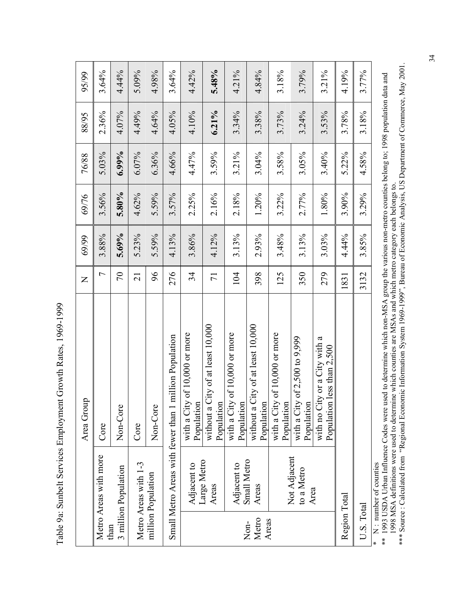Table 9a: Sunbelt Services Employment Growth Rates, 1969-1999 Table 9a: Sunbelt Services Employment Growth Rates, 1969-1999

|               |                            | Area Group                                                       | $\mathsf{Z}$    | 69/99 | 69/76 | 76/88    | 88/95    | 95/99 |
|---------------|----------------------------|------------------------------------------------------------------|-----------------|-------|-------|----------|----------|-------|
|               | Metro Areas with more      | Core                                                             | 7               | 3.88% | 3.56% | 5.03%    | 2.36%    | 3.64% |
| than          | 3 million Population       | Non-Core                                                         | $\sqrt{2}$      | 5.69% | 5.80% | $6.99\%$ | 4.07%    | 4.44% |
|               | Metro Areas with 1-3       | Core                                                             | $\overline{c}$  | 5.23% | 4.62% | 6.07%    | 4.49%    | 5.09% |
|               | million Population         | Non-Core                                                         | 96              | 5.59% | 5.59% | $6.36\%$ | 4.64%    | 4.98% |
|               |                            | Small Metro Areas with fewer than 1 million Population           | 276             | 4.13% | 3.57% | 4.66%    | 4.05%    | 3.64% |
|               | Adjacent to                | of 10,000 or more<br>with a City<br>Population                   | 34              | 3.86% | 2.25% | 4.47%    | 4.10%    | 4.42% |
|               | Large Metro<br>Areas       | without a City of at least 10,000<br>Population                  | $\overline{71}$ | 4.12% | 2.16% | 3.59%    | $6.21\%$ | 5.48% |
|               | Adjacent to                | of $10,000$ or more<br>with a City<br>Population                 | 104             | 3.13% | 2.18% | 3.21%    | 3.34%    | 4.21% |
| Metro<br>Non- | Small Metro<br>Areas       | without a City of at least 10,000<br>Population                  | 398             | 2.93% | 1.20% | 3.04%    | 3.38%    | 4.84% |
| Areas         |                            | of 10,000 or more<br>with a City<br>Population                   | 125             | 3.48% | 3.22% | 3.58%    | 3.73%    | 3.18% |
|               | Not Adjacent<br>to a Metro | of 2,500 to 9,999<br>with a City<br>Population                   | 350             | 3.13% | 2.77% | 3.05%    | 3.24%    | 3.79% |
|               | Area                       | with no City or a City with a<br>less than $2,500$<br>Population | 279             | 3.03% | 1.80% | 3.40%    | 3.53%    | 3.21% |
| Region Total  |                            |                                                                  | 1831            | 4.44% | 3.90% | 5.22%    | 3.78%    | 4.19% |
| U.S. Total    |                            |                                                                  | 3132            | 3.85% | 3.29% | 4.58%    | 3.18%    | 3.77% |
|               | $*$ N : number of counties |                                                                  |                 |       |       |          |          |       |

\*\* 1993 USDA Urban Influence Codes were used to determine which non-MSA group the various non-metro counties belong to; 1998 population data and<br>1998 MSA definitions were used to determine which counties are MSAs and which \*\* 1993 USDA Urban Influence Codes were used to determine which non-MSA group the various non-metro counties belong to; 1998 population data and 1998 MSA definitions were used to determine which counties are MSAs and which metro category each belongs to.

\*\*\* Source : Calculated from "Regional Economic Information System 1969-1999", Bureau of Economic Analysis, US Department of Commerce, May 2001.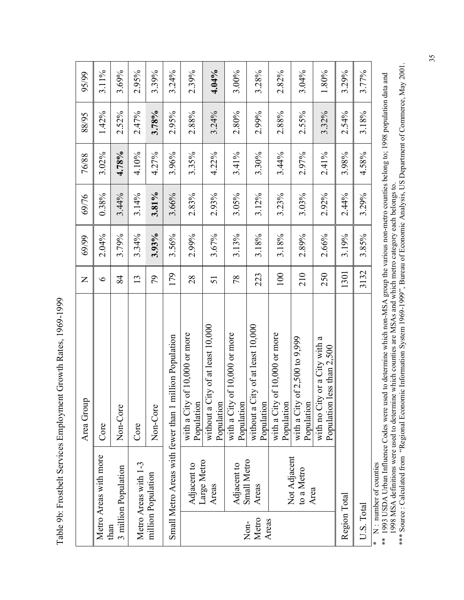Table 9b: Frostbelt Services Employment Growth Rates, 1969-1999 Table 9b: Frostbelt Services Employment Growth Rates, 1969-1999

| 95/99<br>88/95 | 3.11%<br>1.42%        | 3.69%<br>2.52%               | 2.95%<br>2.47%       | 3.39%<br>3.78%     | 3.24%<br>2.95%                                         | 2.39%<br>2.88%                                   | 4.04%<br>3.24%                                  | 3.00%<br>2.80%                                   | 3.28%<br>2.99%                                  | 2.82%<br>2.88%                                 | 3.04%<br>2.55%                                 | $1.80\%$<br>3.32%                                                | 3.29%<br>2.54% | 3.77%<br>3.18% |
|----------------|-----------------------|------------------------------|----------------------|--------------------|--------------------------------------------------------|--------------------------------------------------|-------------------------------------------------|--------------------------------------------------|-------------------------------------------------|------------------------------------------------|------------------------------------------------|------------------------------------------------------------------|----------------|----------------|
| 76/88          | $3.02\%$              | 4.78%                        | 4.10%                | 4.27%              | 3.96%                                                  | 3.35%                                            | 4.22%                                           | 3.41%                                            | 3.30%                                           | 3.44%                                          | 2.97%                                          | 2.41%                                                            | 3.98%          | 4.58%          |
| 69/76          | 0.38%                 | 3.44%                        | 3.14%                | 3.81%              | 3.66%                                                  | 2.83%                                            | 2.93%                                           | 3.05%                                            | 3.12%                                           | 3.23%                                          | 3.03%                                          | 2.92%                                                            | 2.44%          | 3.29%          |
| 69/99          | 2.04%                 | 3.79%                        | 3.34%                | 3.93%              | 3.56%                                                  | 2.99%                                            | 3.67%                                           | 3.13%                                            | 3.18%                                           | 3.18%                                          | 2.89%                                          | 2.66%                                                            | 3.19%          | 3.85%          |
| $\mathsf{Z}$   | $\bullet$             | 84                           | 13                   | 56                 | 179                                                    | 28                                               | 51                                              | 78                                               | 223                                             | 100                                            | 210                                            | 250                                                              | 1301           | 3132           |
| Area Group     | Core                  | Non-Core                     | Core                 | Non-Core           | Small Metro Areas with fewer than 1 million Population | of $10,000$ or more<br>with a City<br>Population | without a City of at least 10,000<br>Population | of $10,000$ or more<br>with a City<br>Population | without a City of at least 10,000<br>Population | of 10,000 or more<br>with a City<br>Population | of 2,500 to 9,999<br>with a City<br>Population | with no City or a City with a<br>less than $2,500$<br>Population |                |                |
|                | Metro Areas with more | 3 million Population<br>than | Metro Areas with 1-3 | million Population |                                                        | Adjacent to                                      | Large Metro<br>Areas                            | Adjacent to                                      | Small Metro<br>Areas<br>Metro<br>Non-           | Areas                                          | Not Adjacent<br>to a Metro                     | Area                                                             | Region Total   | U.S. Total     |

\*\* 1993 USDA Urban Influence Codes were used to determine which non-MSA group the various non-metro counties belong to; 1998 population data and<br>1998 MSA definitions were used to determine which counties are MSAs and which \*\* 1993 USDA Urban Influence Codes were used to determine which non-MSA group the various non-metro counties belong to; 1998 population data and 1998 MSA definitions were used to determine which counties are MSAs and which metro category each belongs to.

\*\*\* Source : Calculated from "Regional Economic Information System 1969-1999", Bureau of Economic Analysis, US Department of Commerce, May 2001.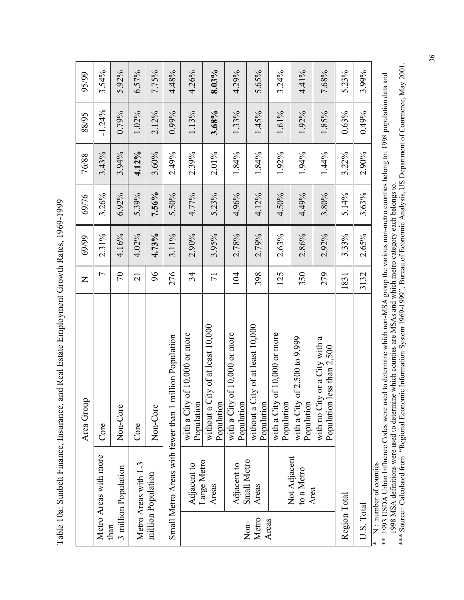Table 10a: Sunbelt Finance, Insurance, and Real Estate Employment Growth Rates, 1969-1999 Table 10a: Sunbelt Finance, Insurance, and Real Estate Employment Growth Rates, 1969-1999

|               |                                    | Area Group                                                       | $\mathsf{Z}% _{0}\!\left( \mathcal{M}_{0}\right) ^{T\!\left( 1\right) }=\mathsf{Z}_{0}\!\left( \mathcal{M}_{0}\right) ^{T\!\left( 1\right) }$ | 69/99 | 69/76    | 76/88 | 88/95    | 95/99 |
|---------------|------------------------------------|------------------------------------------------------------------|-----------------------------------------------------------------------------------------------------------------------------------------------|-------|----------|-------|----------|-------|
|               | Metro Areas with more              | Core                                                             | 7                                                                                                                                             | 2.31% | 3.26%    | 3.43% | $-1.24%$ | 3.54% |
| than          | 3 million Population               | Non-Core                                                         | $\sqrt{2}$                                                                                                                                    | 4.16% | $6.92\%$ | 3.94% | 0.79%    | 5.92% |
|               | Metro Areas with 1-3               | Core                                                             | $\overline{21}$                                                                                                                               | 4.02% | 5.39%    | 4.12% | 1.02%    | 6.57% |
|               | million Population                 | Non-Core                                                         | $\delta$                                                                                                                                      | 4.73% | 7.56%    | 3.60% | 2.12%    | 7.75% |
|               |                                    | Small Metro Areas with fewer than 1 million Population           | 276                                                                                                                                           | 3.11% | 5.50%    | 2.49% | 0.99%    | 4.48% |
|               | Adjacent to                        | of 10,000 or more<br>with a City<br>Population                   | 34                                                                                                                                            | 2.90% | 4.77%    | 2.39% | 1.13%    | 4.26% |
|               | Large Metro<br>Areas               | without a City of at least 10,000<br>Population                  | $\overline{71}$                                                                                                                               | 3.95% | 5.23%    | 2.01% | 3.68%    | 8.03% |
|               | Adjacent to                        | of 10,000 or more<br>with a City<br>Population                   | 104                                                                                                                                           | 2.78% | 4.96%    | 1.84% | 1.33%    | 4.29% |
| Metro<br>Non- | Small Metro<br>Areas               | without a City of at least 10,000<br>Population                  | 398                                                                                                                                           | 2.79% | 4.12%    | 1.84% | 1.45%    | 5.65% |
| Areas         |                                    | of 10,000 or more<br>with a City<br>Population                   | 125                                                                                                                                           | 2.63% | 4.50%    | 1.92% | 1.61%    | 3.24% |
|               | Not Adjacent<br>to a Metro<br>Area | of 2,500 to 9,999<br>with a City<br>Population                   | 350                                                                                                                                           | 2.86% | 4.49%    | 1.94% | 1.92%    | 4.41% |
|               |                                    | with no City or a City with a<br>less than $2,500$<br>Population | 279                                                                                                                                           | 2.92% | 3.80%    | 1.44% | 1.85%    | 7.68% |
| Region Total  |                                    |                                                                  | 1831                                                                                                                                          | 3.33% | 5.14%    | 3.22% | 0.63%    | 5.23% |
| U.S. Total    |                                    |                                                                  | 3132                                                                                                                                          | 2.65% | 3.63%    | 2.90% | 0.49%    | 3.99% |
|               | * N : number of counties           |                                                                  |                                                                                                                                               |       |          |       |          |       |

\*\* 1993 USDA Urban Influence Codes were used to determine which non-MSA group the various non-metro counties belong to; 1998 population data and<br>1998 MSA definitions were used to determine which counties are MSAs and which \*\* 1993 USDA Urban Influence Codes were used to determine which non-MSA group the various non-metro counties belong to; 1998 population data and 1998 MSA definitions were used to determine which counties are MSAs and which metro category each belongs to.

\*\*\* Source : Calculated from "Regional Economic Information System 1969-1999", Bureau of Economic Analysis, US Department of Commerce, May 2001.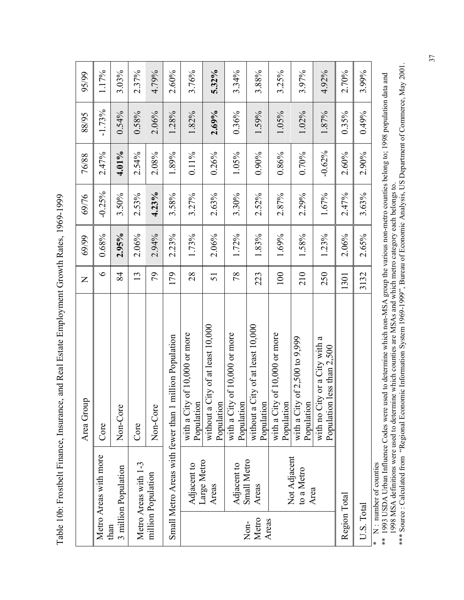Table 10b: Frostbelt Finance, Insurance, and Real Estate Employment Growth Rates, 1969-1999 Table 10b: Frostbelt Finance, Insurance, and Real Estate Employment Growth Rates, 1969-1999

| Small Metro Areas with fewer than 1 million Population<br>Core<br>Not Adjacent<br>Large Metro<br>Small Metro<br>Metro Areas with 1-3<br>Adjacent to<br>Adjacent to<br>to a Metro<br>million Population<br>Areas<br>Areas<br>Area<br>Metro<br>Areas<br>Non- | without a City of at least 10,000<br>without a City of at least 10,000<br>of 10,000 or more<br>of 10,000 or more<br>of 10,000 or more<br>of 2,500 to 9,999<br>with no City or a City with a<br>Area Group<br>with a City<br>Population<br>Population<br>with a City<br>Population<br>with a City<br>Population<br>with a City<br>Population<br>Population<br>Non-Core<br>Non-Core<br>Core | $\circ$<br>28<br>78<br>100<br>210<br>84<br>64<br>179<br>250<br>13<br>223<br>51<br>$\overline{Z}$ | 2.95%<br>0.68%<br>2.06%<br>2.94%<br>2.23%<br>1.73%<br>2.06%<br>1.72%<br>1.83%<br>1.69%<br>1.58%<br>1.23%<br>69/99 | $-0.25%$<br>4.23%<br>3.50%<br>2.53%<br>3.58%<br>2.63%<br>3.30%<br>2.29%<br>1.67%<br>3.27%<br>$2.52\%$<br>2.87%<br>69/76 | $-0.62%$<br>2.47%<br>4.01%<br>2.54%<br>1.89%<br>0.70%<br>$0.11\%$<br>0.26%<br>1.05%<br>0.86%<br>2.08%<br>$0.90\%$<br>76/88 | $-1.73%$<br>2.69%<br>$0.54\%$<br>$0.58\%$<br>2.06%<br>1.28%<br>1.82%<br>$1.02\%$<br>$0.36\%$<br>1.59%<br>1.05%<br>1.87%<br>88/95 | $5.32\%$<br>1.17%<br>3.03%<br>2.37%<br>4.79%<br>2.60%<br>3.76%<br>3.97%<br>4.92%<br>3.34%<br>3.88%<br>3.25%<br>95/99 |  |
|------------------------------------------------------------------------------------------------------------------------------------------------------------------------------------------------------------------------------------------------------------|-------------------------------------------------------------------------------------------------------------------------------------------------------------------------------------------------------------------------------------------------------------------------------------------------------------------------------------------------------------------------------------------|--------------------------------------------------------------------------------------------------|-------------------------------------------------------------------------------------------------------------------|-------------------------------------------------------------------------------------------------------------------------|----------------------------------------------------------------------------------------------------------------------------|----------------------------------------------------------------------------------------------------------------------------------|----------------------------------------------------------------------------------------------------------------------|--|
| Region Total                                                                                                                                                                                                                                               | less than $2,500$<br>Population                                                                                                                                                                                                                                                                                                                                                           | 1301                                                                                             | 2.06%                                                                                                             | 2.47%                                                                                                                   | 2.60%                                                                                                                      | 0.35%                                                                                                                            | 2.70%                                                                                                                |  |
| U.S. Total                                                                                                                                                                                                                                                 |                                                                                                                                                                                                                                                                                                                                                                                           | 3132                                                                                             | 2.65%                                                                                                             | 3.63%                                                                                                                   | 2.90%                                                                                                                      | 0.49%                                                                                                                            | 3.99%                                                                                                                |  |
| N : number of counties                                                                                                                                                                                                                                     |                                                                                                                                                                                                                                                                                                                                                                                           |                                                                                                  |                                                                                                                   |                                                                                                                         |                                                                                                                            |                                                                                                                                  |                                                                                                                      |  |

\*\* 1993 USDA Urban Influence Codes were used to determine which non-MSA group the various non-metro counties belong to; 1998 population data and<br>1998 MSA definitions were used to determine which counties are MSAs and which \*\* 1993 USDA Urban Influence Codes were used to determine which non-MSA group the various non-metro counties belong to; 1998 population data and 1998 MSA definitions were used to determine which counties are MSAs and which metro category each belongs to.

\*\*\* Source : Calculated from "Regional Economic Information System 1969-1999", Bureau of Economic Analysis, US Department of Commerce, May 2001.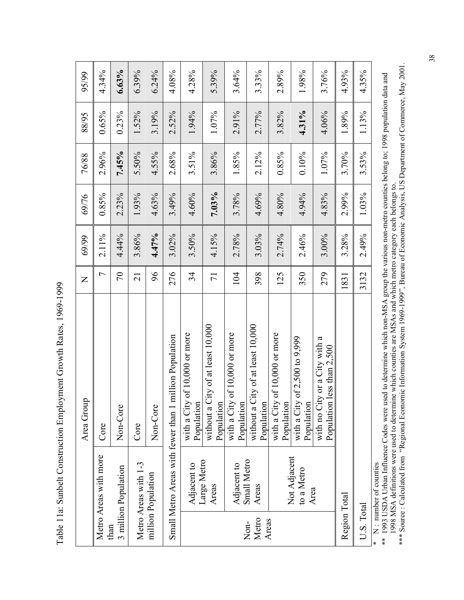Table 11a: Sunbelt Construction Employment Growth Rates, 1969-1999 Table 11a: Sunbelt Construction Employment Growth Rates, 1969-1999

|               |                             | Area Group                                                       | $\mathsf{Z}% _{0}\!\left( \mathcal{M}_{0}\right) ^{T\!\left( 1\right) }=\mathsf{Z}_{0}\!\left( \mathcal{M}_{0}\right) ^{T\!\left( 1\right) }$ | 69/99    | 69/76 | 76/88    | 88/95    | 95/99    |
|---------------|-----------------------------|------------------------------------------------------------------|-----------------------------------------------------------------------------------------------------------------------------------------------|----------|-------|----------|----------|----------|
|               | Metro Areas with more       | Core                                                             | $\overline{ }$                                                                                                                                | $2.11\%$ | 0.85% | 2.96%    | 0.65%    | 4.34%    |
| than          | 3 million Population        | Non-Core                                                         | $\sqrt{2}$                                                                                                                                    | 4.44%    | 2.23% | 7.45%    | 0.23%    | 6.63%    |
|               | Metro Areas with 1-3        | Core                                                             | $\overline{c}$                                                                                                                                | 3.86%    | 1.93% | 5.50%    | 1.52%    | 6.39%    |
|               | million Population          | Non-Core                                                         | 96                                                                                                                                            | 4.47%    | 4.63% | 4.55%    | 3.19%    | $6.24\%$ |
|               |                             | Small Metro Areas with fewer than 1 million Population           | 276                                                                                                                                           | $3.02\%$ | 3.49% | 2.68%    | $2.52\%$ | 4.08%    |
|               | Adjacent to                 | of 10,000 or more<br>with a City<br>Population                   | 34                                                                                                                                            | 3.50%    | 4.60% | 3.51%    | 1.94%    | 4.28%    |
|               | Large Metro<br>Areas        | without a City of at least 10,000<br>Population                  | $\overline{71}$                                                                                                                               | 4.15%    | 7.03% | 3.86%    | 1.07%    | 5.39%    |
|               | Adjacent to                 | of 10,000 or more<br>with a City<br>Population                   | 104                                                                                                                                           | 2.78%    | 3.78% | 1.85%    | 2.91%    | 3.64%    |
| Metro<br>Non- | <b>Small Metro</b><br>Areas | without a City of at least 10,000<br>Population                  | 398                                                                                                                                           | 3.03%    | 4.69% | $2.12\%$ | 2.77%    | 3.33%    |
| Areas         |                             | of 10,000 or more<br>with a City<br>Population                   | 125                                                                                                                                           | 2.74%    | 4.80% | 0.85%    | 3.82%    | 2.89%    |
|               | Not Adjacent<br>to a Metro  | of 2,500 to 9,999<br>with a City<br>Population                   | 350                                                                                                                                           | 2.46%    | 4.94% | 0.10%    | 4.31%    | 1.98%    |
|               | Area                        | with no City or a City with a<br>less than $2,500$<br>Population | 279                                                                                                                                           | 3.00%    | 4.83% | 1.07%    | 4.06%    | 3.76%    |
| Region Total  |                             |                                                                  | 1831                                                                                                                                          | 3.28%    | 2.99% | 3.70%    | 1.89%    | 4.93%    |
| U.S. Total    |                             |                                                                  | 3132                                                                                                                                          | 2.49%    | 1.03% | 3.53%    | 1.13%    | 4.35%    |
|               | N : number of counties      |                                                                  |                                                                                                                                               |          |       |          |          |          |

\*\* 1993 USDA Urban Influence Codes were used to determine which non-MSA group the various non-metro counties belong to; 1998 population data and<br>1998 MSA definitions were used to determine which counties are MSAs and which \*\* 1993 USDA Urban Influence Codes were used to determine which non-MSA group the various non-metro counties belong to; 1998 population data and 1998 MSA definitions were used to determine which counties are MSAs and which metro category each belongs to.

\*\*\* Source : Calculated from "Regional Economic Information System 1969-1999", Bureau of Economic Analysis, US Department of Commerce, May 2001.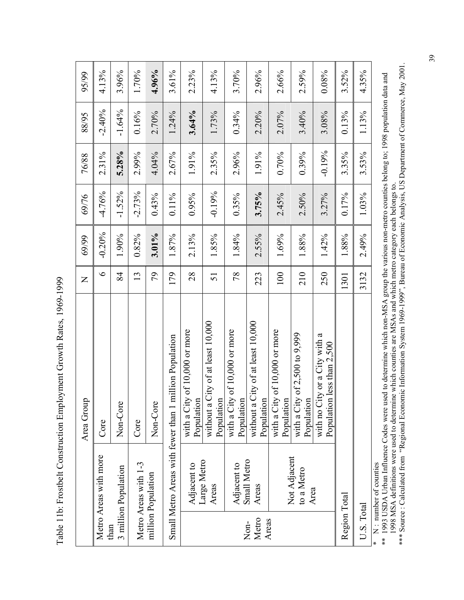Table 11b: Frostbelt Construction Employment Growth Rates, 1969-1999 Table 11b: Frostbelt Construction Employment Growth Rates, 1969-1999

|                        |                                    | Area Group                                                  | $\overline{z}$ | 69/99    | 69/76    | 76/88    | 88/95    | 95/99 |
|------------------------|------------------------------------|-------------------------------------------------------------|----------------|----------|----------|----------|----------|-------|
|                        | Metro Areas with more              | Core                                                        | $\circ$        | $-0.20%$ | $-4.76%$ | 2.31%    | $-2.40%$ | 4.13% |
| than                   | 3 million Population               | Non-Core                                                    | 84             | 1.90%    | $-1.52%$ | 5.28%    | $-1.64%$ | 3.96% |
|                        | Metro Areas with 1-3               | Core                                                        | 13             | 0.82%    | $-2.73%$ | 2.99%    | 0.16%    | 1.70% |
|                        | million Population                 | Non-Core                                                    | 79             | $3.01\%$ | 0.43%    | 4.04%    | 2.70%    | 4.96% |
|                        |                                    | Small Metro Areas with fewer than 1 million Population      | 179            | 1.87%    | $0.11\%$ | 2.67%    | 1.24%    | 3.61% |
|                        | Adjacent to                        | with a City of 10,000 or more<br>Population                 | 28             | 2.13%    | $0.95\%$ | 1.91%    | 3.64%    | 2.23% |
|                        | Large Metro<br>Areas               | City of at least 10,000<br>Population<br>without a          | 51             | 1.85%    | $-0.19%$ | 2.35%    | 1.73%    | 4.13% |
|                        | Adjacent to                        | with a City of 10,000 or more<br>Population                 | 78             | 1.84%    | $0.35\%$ | 2.96%    | $0.34\%$ | 3.70% |
| Metro<br>Areas<br>Non- | Small Metro<br>Areas               | City of at least $10,000$<br>Population<br>without a        | 223            | 2.55%    | 3.75%    | 1.91%    | 2.20%    | 2.96% |
|                        |                                    | with a City of 10,000 or more<br>Population                 | 100            | 1.69%    | 2.45%    | 0.70%    | 2.07%    | 2.66% |
|                        | Not Adjacent<br>to a Metro<br>Area | with a City of $2,500$ to $9,999$<br>Population             | 210            | 1.88%    | 2.50%    | 0.39%    | 3.40%    | 2.59% |
|                        |                                    | with no City or a City with a<br>Population less than 2,500 | 250            | 1.42%    | 3.27%    | $-0.19%$ | 3.08%    | 0.08% |
| Region Total           |                                    |                                                             | 1301           | 1.88%    | 0.17%    | 3.35%    | 0.13%    | 3.52% |
| U.S. Total             |                                    |                                                             | 3132           | 2.49%    | 1.03%    | 3.53%    | 1.13%    | 4.35% |
|                        | $* \mathbb{N}$ mumber of counties  |                                                             |                |          |          |          |          |       |

\* N : number of counties

\*\* 1993 USDA Urban Influence Codes were used to determine which non-MSA group the various non-metro counties belong to; 1998 population data and<br>1998 MSA definitions were used to determine which counties are MSAs and which \*\* 1993 USDA Urban Influence Codes were used to determine which non-MSA group the various non-metro counties belong to; 1998 population data and 1998 MSA definitions were used to determine which counties are MSAs and which metro category each belongs to.

\*\*\* Source : Calculated from "Regional Economic Information System 1969-1999", Bureau of Economic Analysis, US Department of Commerce, May 2001.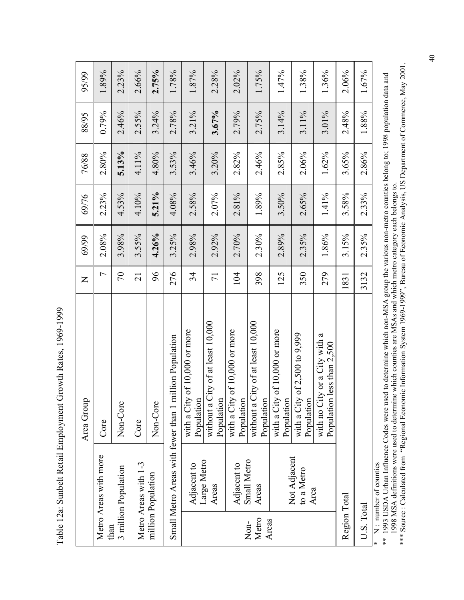Table 12a: Sunbelt Retail Employment Growth Rates, 1969-1999 Table 12a: Sunbelt Retail Employment Growth Rates, 1969-1999

|                        |                                    | Area Group                                                  | $\mathsf{Z}$   | 69/99 | 69/76 | 76/88 | 88/95 | 95/99 |
|------------------------|------------------------------------|-------------------------------------------------------------|----------------|-------|-------|-------|-------|-------|
| than                   | Metro Areas with more              | Core                                                        | $\overline{ }$ | 2.08% | 2.23% | 2.80% | 0.79% | 1.89% |
|                        | 3 million Population               | Non-Core                                                    | $\sqrt{2}$     | 3.98% | 4.53% | 5.13% | 2.46% | 2.23% |
|                        | Metro Areas with 1-3               | Core                                                        | $\overline{c}$ | 3.55% | 4.10% | 4.11% | 2.55% | 2.66% |
|                        | million Population                 | Non-Core                                                    | 96             | 4.26% | 5.21% | 4.80% | 3.24% | 2.75% |
|                        |                                    | Small Metro Areas with fewer than 1 million Population      | 276            | 3.25% | 4.08% | 3.53% | 2.78% | 1.78% |
|                        | Adjacent to                        | with a City of 10,000 or more<br>Population                 | 34             | 2.98% | 2.58% | 3.46% | 3.21% | 1.87% |
|                        | Large Metro<br>Areas               | without a City of at least 10,000<br>Population             | $\overline{7}$ | 2.92% | 2.07% | 3.20% | 3.67% | 2.28% |
|                        | Adjacent to                        | of 10,000 or more<br>with a City<br>Population              | 104            | 2.70% | 2.81% | 2.82% | 2.79% | 2.02% |
| Metro<br>Areas<br>Non- | Small Metro<br>Areas               | without a City of at least 10,000<br>Population             | 398            | 2.30% | 1.89% | 2.46% | 2.75% | 1.75% |
|                        |                                    | of $10,000$ or more<br>with a City<br>Population            | 125            | 2.89% | 3.50% | 2.85% | 3.14% | 1.47% |
|                        | Not Adjacent<br>to a Metro<br>Area | of 2,500 to 9,999<br>with a City<br>Population              | 350            | 2.35% | 2.65% | 2.06% | 3.11% | 1.38% |
|                        |                                    | with no City or a City with a<br>Population less than 2,500 | 279            | 1.86% | 1.41% | 1.62% | 3.01% | 1.36% |
| Region Total           |                                    |                                                             | 1831           | 3.15% | 3.58% | 3.65% | 2.48% | 2.06% |
| U.S. Total             |                                    |                                                             | 3132           | 2.35% | 2.33% | 2.86% | 1.88% | 1.67% |
|                        | $* \mathbf{N}$ munder of counties  |                                                             |                |       |       |       |       |       |

\* N : number of counties

\* N : number of counties<br>\*\* 1993 USDA Urban Influence Codes were used to determine which non-MSA group the various non-metro counties belong to; 1998 population data and<br>1998 MSA definitions were used to determine which co \*\* 1993 USDA Urban Influence Codes were used to determine which non-MSA group the various non-metro counties belong to; 1998 population data and 1998 MSA definitions were used to determine which counties are MSAs and which metro category each belongs to.

\*\*\* Source : Calculated from "Regional Economic Information System 1969-1999", Bureau of Economic Analysis, US Department of Commerce, May 2001.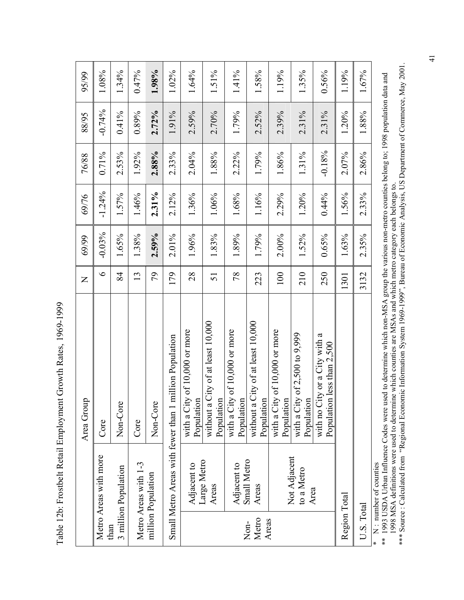Table 12b: Frostbelt Retail Employment Growth Rates, 1969-1999 Table 12b: Frostbelt Retail Employment Growth Rates, 1969-1999

| 95/99        | 1.08%                 | 1.34%                | 0.47%                | 1.98%              | 1.02%                                                  | 1.64%                                       | 1.51%                                              | 1.41%                                         | 1.58%                                                | 1.19%                                       | 1.35%                                           | 0.56%                                                            | 1.19%        | 1.67%                    |
|--------------|-----------------------|----------------------|----------------------|--------------------|--------------------------------------------------------|---------------------------------------------|----------------------------------------------------|-----------------------------------------------|------------------------------------------------------|---------------------------------------------|-------------------------------------------------|------------------------------------------------------------------|--------------|--------------------------|
| 88/95        | $-0.74\%$             | $0.41\%$             | 0.89%                | 2.72%              | 1.91%                                                  | 2.59%                                       | 2.70%                                              | 1.79%                                         | 2.52%                                                | 2.39%                                       | 2.31%                                           | 2.31%                                                            | 1.20%        | 1.88%                    |
| 76/88        | 0.71%                 | 2.53%                | 1.92%                | 2.88%              | 2.33%                                                  | 2.04%                                       | 1.88%                                              | 2.22%                                         | 1.79%                                                | 1.86%                                       | 1.31%                                           | $-0.18%$                                                         | 2.07%        | 2.86%                    |
| 69/76        | $-1.24%$              | 1.57%                | 1.46%                | 2.31%              | $2.12\%$                                               | 1.36%                                       | 1.06%                                              | 1.68%                                         | 1.16%                                                | 2.29%                                       | 1.20%                                           | 0.44%                                                            | 1.56%        | 2.33%                    |
| 69/99        | $-0.03%$              | 1.65%                | 1.38%                | $2.59\%$           | 2.01%                                                  | 1.96%                                       | 1.83%                                              | 1.89%                                         | 1.79%                                                | 2.00%                                       | 1.52%                                           | 0.65%                                                            | 1.63%        | 2.35%                    |
| $\mathsf{Z}$ | $\circ$               | 84                   | 13                   | 56                 | 179                                                    | 28                                          | 51                                                 | 78                                            | 223                                                  | 100                                         | 210                                             | 250                                                              | 1301         | 3132                     |
| Area Group   | Core                  | Non-Core             | Core                 | Non-Core           | Small Metro Areas with fewer than 1 million Population | with a City of 10,000 or more<br>Population | City of at least 10,000<br>Population<br>without a | with a City of $10,000$ or more<br>Population | City of at least $10,000$<br>Population<br>without a | with a City of 10,000 or more<br>Population | with a City of $2,500$ to $9,999$<br>Population | with no City or a City with a<br>less than $2,500$<br>Population |              |                          |
|              | Metro Areas with more | 3 million Population | Metro Areas with 1-3 | million Population |                                                        | Adjacent to                                 | Large Metro<br>Areas                               | Adjacent to                                   | Small Metro<br>Areas                                 |                                             | Not Adjacent<br>to a Metro                      | Area                                                             | Region Total | $* N$ number of counties |
|              |                       | than                 |                      |                    |                                                        |                                             |                                                    |                                               | Metro<br>Non-                                        | Areas                                       |                                                 |                                                                  |              | U.S. Total               |

\* N : number of counties

\*\* 1993 USDA Urban Influence Codes were used to determine which non-MSA group the various non-metro counties belong to; 1998 population data and<br>1998 MSA definitions were used to determine which counties are MSAs and which \*\* 1993 USDA Urban Influence Codes were used to determine which non-MSA group the various non-metro counties belong to; 1998 population data and 1998 MSA definitions were used to determine which counties are MSAs and which metro category each belongs to.

\*\*\* Source : Calculated from "Regional Economic Information System 1969-1999", Bureau of Economic Analysis, US Department of Commerce, May 2001.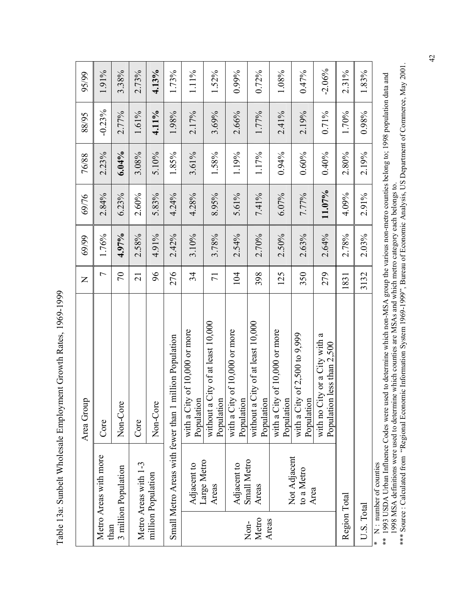Table 13a: Sunbelt Wholesale Employment Growth Rates, 1969-1999 Table 13a: Sunbelt Wholesale Employment Growth Rates, 1969-1999

|                        |                                    | Area Group                                                  | Z               | 69/99    | 69/76  | 76/88    | 88/95    | 95/99    |
|------------------------|------------------------------------|-------------------------------------------------------------|-----------------|----------|--------|----------|----------|----------|
| than                   | Metro Areas with more              | Core                                                        | $\overline{ }$  | 1.76%    | 2.84%  | 2.23%    | $-0.23%$ | 1.91%    |
|                        | 3 million Population               | Non-Core                                                    | $\sqrt{2}$      | 4.97%    | 6.23%  | $6.04\%$ | 2.77%    | 3.38%    |
|                        | Metro Areas with 1-3               | Core                                                        | $\overline{21}$ | 2.58%    | 2.60%  | 3.08%    | 1.61%    | 2.73%    |
|                        | million Population                 | Non-Core                                                    | 96              | 4.91%    | 5.83%  | 5.10%    | 4.11%    | 4.13%    |
|                        |                                    | Small Metro Areas with fewer than 1 million Population      | 276             | 2.42%    | 4.24%  | 1.85%    | 1.98%    | 1.73%    |
|                        | Adjacent to                        | with a City of 10,000 or more<br>Population                 | 34              | 3.10%    | 4.28%  | 3.61%    | 2.17%    | 1.11%    |
|                        | Large Metro<br>Areas               | without a City of at least 10,000<br>Population             | $\overline{7}$  | 3.78%    | 8.95%  | 1.58%    | 3.69%    | 1.52%    |
|                        | Adjacent to                        | of 10,000 or more<br>with a City<br>Population              | 104             | 2.54%    | 5.61%  | 1.19%    | 2.66%    | 0.99%    |
| Metro<br>Areas<br>Non- | Small Metro<br>Areas               | without a City of at least 10,000<br>Population             | 398             | 2.70%    | 7.41%  | 1.17%    | 1.77%    | 0.72%    |
|                        |                                    | with a City of 10,000 or more<br>Population                 | 125             | 2.50%    | 6.07%  | 0.94%    | 2.41%    | 1.08%    |
|                        | Not Adjacent<br>to a Metro<br>Area | of $2,500$ to $9,999$<br>with a City<br>Population          | 350             | 2.63%    | 7.77%  | 0.60%    | 2.19%    | 0.47%    |
|                        |                                    | with no City or a City with a<br>Population less than 2,500 | 279             | 2.64%    | 11.07% | 0.40%    | $0.71\%$ | $-2.06%$ |
| Region Total           |                                    |                                                             | 1831            | 2.78%    | 4.09%  | 2.80%    | 1.70%    | 2.31%    |
| U.S. Total             |                                    |                                                             | 3132            | $2.03\%$ | 2.91%  | 2.19%    | 0.98%    | 1.83%    |
|                        | $* \mathbf{N}$ mumber of counties  |                                                             |                 |          |        |          |          |          |

\* N : number of counties

\* N : number of counties<br>\*\* 1993 USDA Urban Influence Codes were used to determine which non-MSA group the various non-metro counties belong to; 1998 population data and<br>1998 MSA definitions were used to determine which co \*\* 1993 USDA Urban Influence Codes were used to determine which non-MSA group the various non-metro counties belong to; 1998 population data and 1998 MSA definitions were used to determine which counties are MSAs and which metro category each belongs to.

\*\*\* Source : Calculated from "Regional Economic Information System 1969-1999", Bureau of Economic Analysis, US Department of Commerce, May 2001.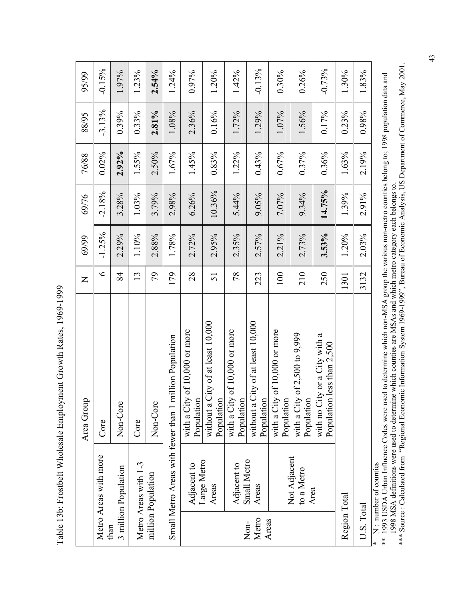Table 13b: Frostbelt Wholesale Employment Growth Rates, 1969-1999 Table 13b: Frostbelt Wholesale Employment Growth Rates, 1969-1999

|               |                                    | Area Group                                                  | $\mathsf{\Sigma}$ | 69/99    | 69/76    | 76/88    | 88/95    | 95/99    |
|---------------|------------------------------------|-------------------------------------------------------------|-------------------|----------|----------|----------|----------|----------|
|               | Metro Areas with more              | Core                                                        | $\circ$           | $-1.25%$ | $-2.18%$ | $0.02\%$ | $-3.13%$ | $-0.15%$ |
| than          | 3 million Population               | Non-Core                                                    | 84                | 2.29%    | 3.28%    | 2.92%    | 0.39%    | 1.97%    |
|               | Metro Areas with 1-3               | Core                                                        | 13                | 1.10%    | 1.03%    | 1.55%    | 0.33%    | 1.23%    |
|               | million Population                 | Non-Core                                                    | 79                | 2.88%    | 3.79%    | 2.50%    | 2.81%    | $2.54\%$ |
|               |                                    | Small Metro Areas with fewer than 1 million Population      | 179               | 1.78%    | 2.98%    | 1.67%    | 1.08%    | 1.24%    |
|               | Adjacent to                        | with a City of 10,000 or more<br>Population                 | 28                | 2.72%    | 6.26%    | 1.45%    | 2.36%    | 0.97%    |
|               | Large Metro<br>Areas               | City of at least $10,000$<br>Population<br>without a        | 51                | 2.95%    | 10.36%   | 0.83%    | 0.16%    | 1.20%    |
|               | Adjacent to                        | with a City of 10,000 or more<br>Population                 | 78                | 2.35%    | 5.44%    | 1.22%    | 1.72%    | 1.42%    |
| Metro<br>Non- | <b>Small Metro</b><br>Areas        | City of at least 10,000<br>Population<br>without a          | 223               | 2.57%    | 9.05%    | 0.43%    | 1.29%    | $-0.13%$ |
| Areas         |                                    | of 10,000 or more<br>with a City<br>Population              | 100               | 2.21%    | 7.07%    | 0.67%    | 1.07%    | $0.30\%$ |
|               | Not Adjacent<br>to a Metro<br>Area | of 2,500 to 9,999<br>with a City<br>Population              | 210               | 2.73%    | 9.34%    | 0.37%    | 1.56%    | 0.26%    |
|               |                                    | with no City or a City with a<br>Population less than 2,500 | 250               | $3.53\%$ | 14.75%   | 0.36%    | 0.17%    | $-0.73%$ |
| Region Total  |                                    |                                                             | 1301              | 1.20%    | 1.39%    | 1.63%    | 0.23%    | 1.30%    |
| U.S. Total    |                                    |                                                             | 3132              | $2.03\%$ | 2.91%    | 2.19%    | 0.98%    | 1.83%    |
|               | N : number of counties             |                                                             |                   |          |          |          |          |          |

\*\* 1993 USDA Urban Influence Codes were used to determine which non-MSA group the various non-metro counties belong to; 1998 population data and<br>1998 MSA definitions were used to determine which counties are MSAs and which \*\* 1993 USDA Urban Influence Codes were used to determine which non-MSA group the various non-metro counties belong to; 1998 population data and 1998 MSA definitions were used to determine which counties are MSAs and which metro category each belongs to.

\*\*\* Source : Calculated from "Regional Economic Information System 1969-1999", Bureau of Economic Analysis, US Department of Commerce, May 2001.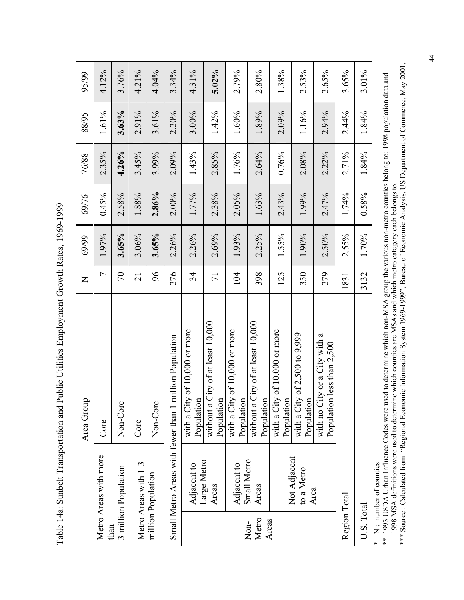Table 14a: Sunbelt Transportation and Public Utilities Employment Growth Rates, 1969-1999 Table 14a: Sunbelt Transportation and Public Utilities Employment Growth Rates, 1969-1999

|                        |                                    | Area Group                                                  | $\overline{z}$  | 69/99 | 69/76    | 76/88 | 88/95 | 95/99    |
|------------------------|------------------------------------|-------------------------------------------------------------|-----------------|-------|----------|-------|-------|----------|
| than                   | Metro Areas with more              | Core                                                        | Γ               | 1.97% | $0.45\%$ | 2.35% | 1.61% | 4.12%    |
|                        | 3 million Population               | Non-Core                                                    | $\sqrt{2}$      | 3.65% | 2.58%    | 4.26% | 3.63% | 3.76%    |
|                        | Metro Areas with 1-3               | Core                                                        | $\overline{21}$ | 3.06% | 1.88%    | 3.45% | 2.91% | 4.21%    |
|                        | million Population                 | Non-Core                                                    | 96              | 3.65% | 2.86%    | 3.99% | 3.61% | 4.04%    |
|                        |                                    | Small Metro Areas with fewer than 1 million Population      | 276             | 2.26% | $2.00\%$ | 2.09% | 2.20% | 3.34%    |
|                        | Adjacent to                        | with a City of 10,000 or more<br>Population                 | 34              | 2.26% | 1.77%    | 1.43% | 3.00% | 4.31%    |
|                        | Large Metro<br>Areas               | City of at least 10,000<br>Population<br>without a          | $\overline{71}$ | 2.69% | 2.38%    | 2.85% | 1.42% | $5.02\%$ |
|                        | Adjacent to                        | with a City of 10,000 or more<br>Population                 | 104             | 1.93% | $2.05\%$ | 1.76% | 1.60% | 2.79%    |
| Metro<br>Areas<br>Non- | Small Metro<br>Areas               | City of at least 10,000<br>Population<br>without a          | 398             | 2.25% | 1.63%    | 2.64% | 1.89% | 2.80%    |
|                        |                                    | with a City of 10,000 or more<br>Population                 | 125             | 1.55% | 2.43%    | 0.76% | 2.09% | 1.38%    |
|                        | Not Adjacent<br>to a Metro<br>Area | with a City of $2,500$ to $9,999$<br>Population             | 350             | 1.90% | 1.99%    | 2.08% | 1.16% | 2.53%    |
|                        |                                    | with no City or a City with a<br>Population less than 2,500 | 279             | 2.50% | 2.47%    | 2.22% | 2.94% | 2.65%    |
| Region Total           |                                    |                                                             | 1831            | 2.55% | 1.74%    | 2.71% | 2.44% | 3.65%    |
| U.S. Total             |                                    |                                                             | 3132            | 1.70% | 0.58%    | 1.84% | 1.84% | 3.01%    |
| ×                      | $N:$ number of counties            |                                                             |                 |       |          |       |       |          |

\*\* 1993 USDA Urban Influence Codes were used to determine which non-MSA group the various non-metro counties belong to; 1998 population data and<br>1998 MSA definitions were used to determine which counties are MSAs and which \*\* 1993 USDA Urban Influence Codes were used to determine which non-MSA group the various non-metro counties belong to; 1998 population data and 1998 MSA definitions were used to determine which counties are MSAs and which metro category each belongs to.

\*\*\* Source : Calculated from "Regional Economic Information System 1969-1999", Bureau of Economic Analysis, US Department of Commerce, May 2001.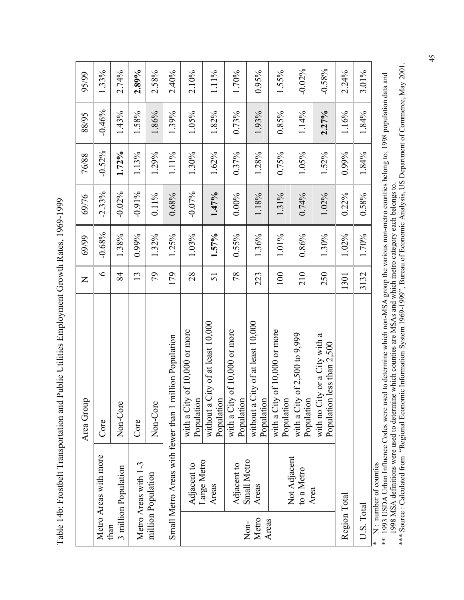Table 14b: Frostbelt Transportation and Public Utilities Employment Growth Rates, 1969-1999 Table 14b: Frostbelt Transportation and Public Utilities Employment Growth Rates, 1969-1999

|               |                            | Area Group                                                  | $\mathsf{Z}% _{0}\!\left( \mathcal{M}_{0}\right) ^{T\!\left( 1\right) }=\mathsf{Z}_{0}\!\left( \mathcal{M}_{0}\right) ^{T\!\left( 1\right) }$ | 69/99    | 69/76     | 76/88    | 88/95    | 95/99    |
|---------------|----------------------------|-------------------------------------------------------------|-----------------------------------------------------------------------------------------------------------------------------------------------|----------|-----------|----------|----------|----------|
|               | Metro Areas with more      | Core                                                        | $\circ$                                                                                                                                       | $-0.68%$ | $-2.33%$  | $-0.52%$ | $-0.46%$ | 1.33%    |
| than          | 3 million Population       | Non-Core                                                    | 84                                                                                                                                            | 1.38%    | $-0.02%$  | 1.72%    | 1.43%    | 2.74%    |
|               | Metro Areas with 1-3       | Core                                                        | 13                                                                                                                                            | 0.99%    | $-0.91\%$ | 1.13%    | 1.58%    | 2.89%    |
|               | million Population         | Non-Core                                                    | 56                                                                                                                                            | 1.32%    | $0.11\%$  | 1.29%    | 1.86%    | 2.58%    |
|               |                            | Small Metro Areas with fewer than 1 million Population      | 179                                                                                                                                           | 1.25%    | 0.68%     | 1.11%    | 1.39%    | 2.40%    |
|               | Adjacent to                | with a City of 10,000 or more<br>Population                 | 28                                                                                                                                            | 1.03%    | $-0.07%$  | 1.30%    | 1.05%    | 2.10%    |
|               | Large Metro<br>Areas       | City of at least $10,000$<br>Population<br>without a        | 51                                                                                                                                            | $1.57\%$ | 1.47%     | 1.62%    | 1.82%    | 1.11%    |
|               | Adjacent to                | with a City of 10,000 or more<br>Population                 | 78                                                                                                                                            | 0.55%    | $0.00\%$  | 0.37%    | 0.73%    | 1.70%    |
| Metro<br>Non- | Small Metro<br>Areas       | City of at least 10,000<br>Population<br>without a          | 223                                                                                                                                           | 1.36%    | 1.18%     | 1.28%    | 1.93%    | $0.95\%$ |
| Areas         |                            | with a City of 10,000 or more<br>Population                 | 100                                                                                                                                           | 1.01%    | 1.31%     | $0.75\%$ | 0.85%    | 1.55%    |
|               | Not Adjacent<br>to a Metro | with a City of $2,500$ to $9,999$<br>Population             | 210                                                                                                                                           | 0.86%    | 0.74%     | 1.05%    | 1.14%    | $-0.02%$ |
|               | Area                       | with no City or a City with a<br>Population less than 2,500 | 250                                                                                                                                           | 1.30%    | 1.02%     | 1.52%    | 2.27%    | $-0.58%$ |
| Region Total  |                            |                                                             | 1301                                                                                                                                          | 1.02%    | 0.22%     | 0.99%    | 1.16%    | 2.24%    |
| U.S. Total    |                            |                                                             | 3132                                                                                                                                          | 1.70%    | 0.58%     | 1.84%    | 1.84%    | 3.01%    |
| ∗             | N : number of counties     |                                                             |                                                                                                                                               |          |           |          |          |          |

\*\* 1993 USDA Urban Influence Codes were used to determine which non-MSA group the various non-metro counties belong to; 1998 population data and<br>1998 MSA definitions were used to determine which counties are MSAs and which \*\* 1993 USDA Urban Influence Codes were used to determine which non-MSA group the various non-metro counties belong to; 1998 population data and 1998 MSA definitions were used to determine which counties are MSAs and which metro category each belongs to.

\*\*\* Source : Calculated from "Regional Economic Information System 1969-1999", Bureau of Economic Analysis, US Department of Commerce, May 2001.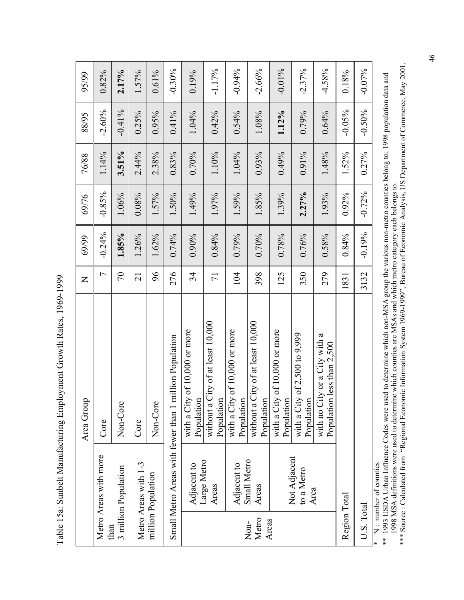Table 15a: Sunbelt Manufacturing Employment Growth Rates, 1969-1999 Table 15a: Sunbelt Manufacturing Employment Growth Rates, 1969-1999

|                        |                                    | Area Group                                                  | $\mathsf{Z}$    | 69/99    | 69/76    | 76/88    | 88/95     | 95/99     |
|------------------------|------------------------------------|-------------------------------------------------------------|-----------------|----------|----------|----------|-----------|-----------|
| than                   | Metro Areas with more              | Core                                                        | $\overline{ }$  | $-0.24%$ | $-0.85%$ | 1.14%    | $-2.60%$  | 0.82%     |
|                        | 3 million Population               | Non-Core                                                    | $\sqrt{2}$      | 1.85%    | 1.06%    | $3.51\%$ | $-0.41\%$ | 2.17%     |
|                        | Metro Areas with 1-3               | Core                                                        | $\overline{21}$ | 1.26%    | 0.08%    | 2.44%    | 0.25%     | 1.57%     |
|                        | million Population                 | Non-Core                                                    | 96              | 1.62%    | 1.57%    | 2.38%    | 0.95%     | $0.61\%$  |
|                        |                                    | Small Metro Areas with fewer than 1 million Population      | 276             | $0.74\%$ | 1.50%    | 0.83%    | $0.41\%$  | $-0.30%$  |
|                        | Adjacent to                        | with a City of 10,000 or more<br>Population                 | 34              | $0.90\%$ | 1.49%    | 0.70%    | 1.04%     | 0.19%     |
|                        | Large Metro<br>Areas               | without a City of at least 10,000<br>Population             | $\overline{7}$  | $0.84\%$ | 1.97%    | 1.10%    | $0.42\%$  | $-1.17%$  |
|                        | Adjacent to                        | of $10,000$ or more<br>with a City<br>Population            | 104             | $0.79\%$ | 1.59%    | 1.04%    | 0.54%     | $-0.94%$  |
| Metro<br>Areas<br>Non- | Small Metro<br>Areas               | without a City of at least 10,000<br>Population             | 398             | $0.70\%$ | 1.85%    | 0.93%    | 1.08%     | $-2.66%$  |
|                        |                                    | of $10,000$ or more<br>with a City<br>Population            | 125             | 0.78%    | 1.39%    | 0.49%    | 1.12%     | $-0.01\%$ |
|                        | Not Adjacent<br>to a Metro<br>Area | of 2,500 to 9,999<br>with a City<br>Population              | 350             | $0.76\%$ | 2.27%    | $0.91\%$ | 0.79%     | $-2.37%$  |
|                        |                                    | with no City or a City with a<br>Population less than 2,500 | 279             | $0.58\%$ | 1.93%    | 1.48%    | 0.64%     | $-4.58%$  |
| Region Total           |                                    |                                                             | 1831            | 0.84%    | $0.92\%$ | 1.52%    | $-0.05%$  | 0.18%     |
| U.S. Total             |                                    |                                                             | 3132            | $-0.19%$ | $-0.72%$ | 0.27%    | $-0.50%$  | $-0.07%$  |
|                        | $* \mathbf{N}$ mumber of counting  |                                                             |                 |          |          |          |           |           |

\* N : number of counties

\* N : number of counties<br>\*\* 1993 USDA Urban Influence Codes were used to determine which non-MSA group the various non-metro counties belong to; 1998 population data and<br>1998 MSA definitions were used to determine which co \*\* 1993 USDA Urban Influence Codes were used to determine which non-MSA group the various non-metro counties belong to; 1998 population data and 1998 MSA definitions were used to determine which counties are MSAs and which metro category each belongs to.

\*\*\* Source : Calculated from "Regional Economic Information System 1969-1999", Bureau of Economic Analysis, US Department of Commerce, May 2001.